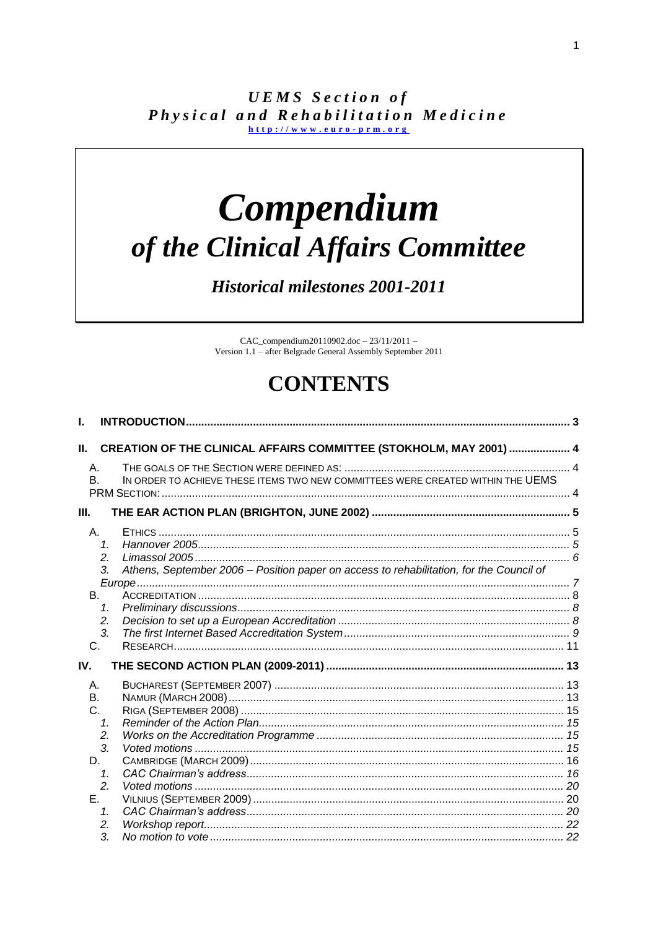**UEMS** Section of Physical and Rehabilitation Medicine  $h$ ttp://www.euro-prm.org

# Compendium of the Clinical Affairs Committee

**Historical milestones 2001-2011** 

 $CAC\_compendium 20110902.doc - 23/11/2011 -$ Version 1.1 - after Belgrade General Assembly September 2011

# **CONTENTS**

| L.                   |                                                                                                                       |  |
|----------------------|-----------------------------------------------------------------------------------------------------------------------|--|
| Ш.                   | <b>CREATION OF THE CLINICAL AFFAIRS COMMITTEE (STOKHOLM, MAY 2001)  4</b>                                             |  |
| A.<br><b>B.</b>      | IN ORDER TO ACHIEVE THESE ITEMS TWO NEW COMMITTEES WERE CREATED WITHIN THE UEMS                                       |  |
| III.                 |                                                                                                                       |  |
| A.                   | 1 <sup>1</sup><br>2.<br>Athens, September 2006 - Position paper on access to rehabilitation, for the Council of<br>3. |  |
| <b>B.</b>            |                                                                                                                       |  |
|                      | $\mathcal{I}$ .<br>2.<br>3.                                                                                           |  |
| C.                   |                                                                                                                       |  |
| IV.                  |                                                                                                                       |  |
| Α.<br>B <sub>1</sub> |                                                                                                                       |  |
| C.                   | 1.<br>2.                                                                                                              |  |
| D.                   | 3.                                                                                                                    |  |
| E.                   | 1.<br>2.                                                                                                              |  |
|                      | 1 <sub>1</sub><br>2.                                                                                                  |  |
|                      | 3.                                                                                                                    |  |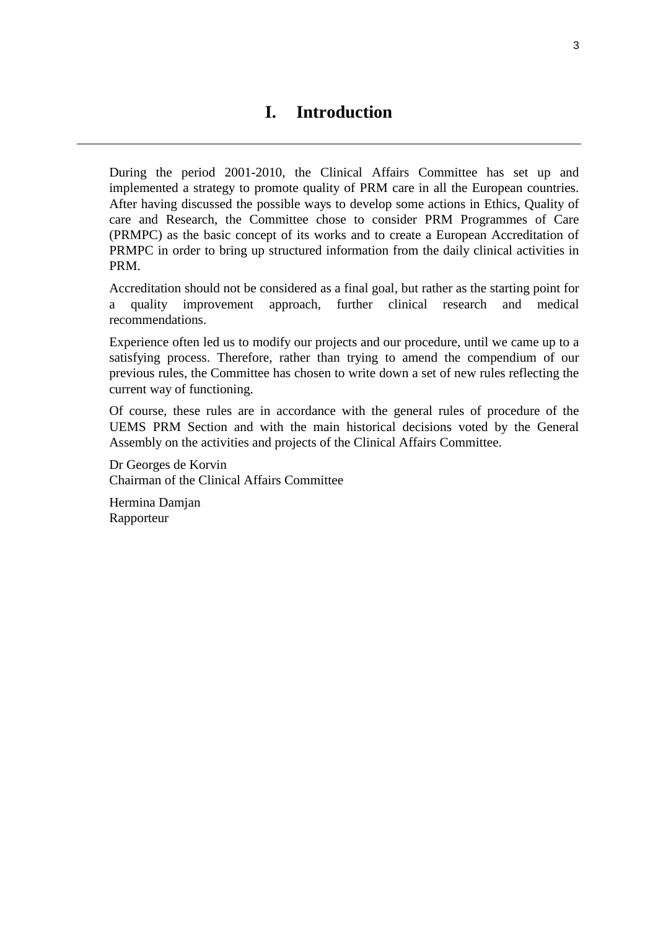<span id="page-2-0"></span>During the period 2001-2010, the Clinical Affairs Committee has set up and implemented a strategy to promote quality of PRM care in all the European countries. After having discussed the possible ways to develop some actions in Ethics, Quality of care and Research, the Committee chose to consider PRM Programmes of Care (PRMPC) as the basic concept of its works and to create a European Accreditation of PRMPC in order to bring up structured information from the daily clinical activities in PRM.

Accreditation should not be considered as a final goal, but rather as the starting point for a quality improvement approach, further clinical research and medical recommendations.

Experience often led us to modify our projects and our procedure, until we came up to a satisfying process. Therefore, rather than trying to amend the compendium of our previous rules, the Committee has chosen to write down a set of new rules reflecting the current way of functioning.

Of course, these rules are in accordance with the general rules of procedure of the UEMS PRM Section and with the main historical decisions voted by the General Assembly on the activities and projects of the Clinical Affairs Committee.

Dr Georges de Korvin Chairman of the Clinical Affairs Committee

Hermina Damjan Rapporteur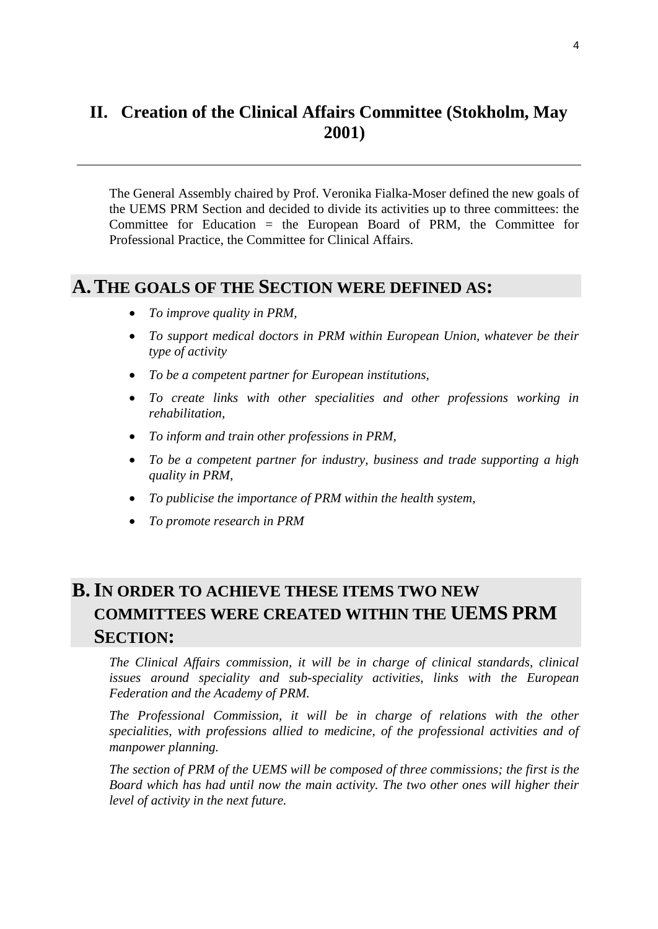# <span id="page-3-0"></span>**II. Creation of the Clinical Affairs Committee (Stokholm, May 2001)**

The General Assembly chaired by Prof. Veronika Fialka-Moser defined the new goals of the UEMS PRM Section and decided to divide its activities up to three committees: the Committee for Education = the European Board of PRM, the Committee for Professional Practice, the Committee for Clinical Affairs.

# <span id="page-3-1"></span>**A.THE GOALS OF THE SECTION WERE DEFINED AS:**

- *To improve quality in PRM,*
- *To support medical doctors in PRM within European Union, whatever be their type of activity*
- *To be a competent partner for European institutions,*
- *To create links with other specialities and other professions working in rehabilitation,*
- *To inform and train other professions in PRM,*
- *To be a competent partner for industry, business and trade supporting a high quality in PRM,*
- *To publicise the importance of PRM within the health system,*
- *To promote research in PRM*

# <span id="page-3-2"></span>**B.IN ORDER TO ACHIEVE THESE ITEMS TWO NEW COMMITTEES WERE CREATED WITHIN THE UEMS PRM SECTION:**

*The Clinical Affairs commission, it will be in charge of clinical standards, clinical issues around speciality and sub-speciality activities, links with the European Federation and the Academy of PRM.* 

The Professional Commission, it will be in charge of relations with the other *specialities, with professions allied to medicine, of the professional activities and of manpower planning.* 

*The section of PRM of the UEMS will be composed of three commissions; the first is the Board which has had until now the main activity. The two other ones will higher their level of activity in the next future.*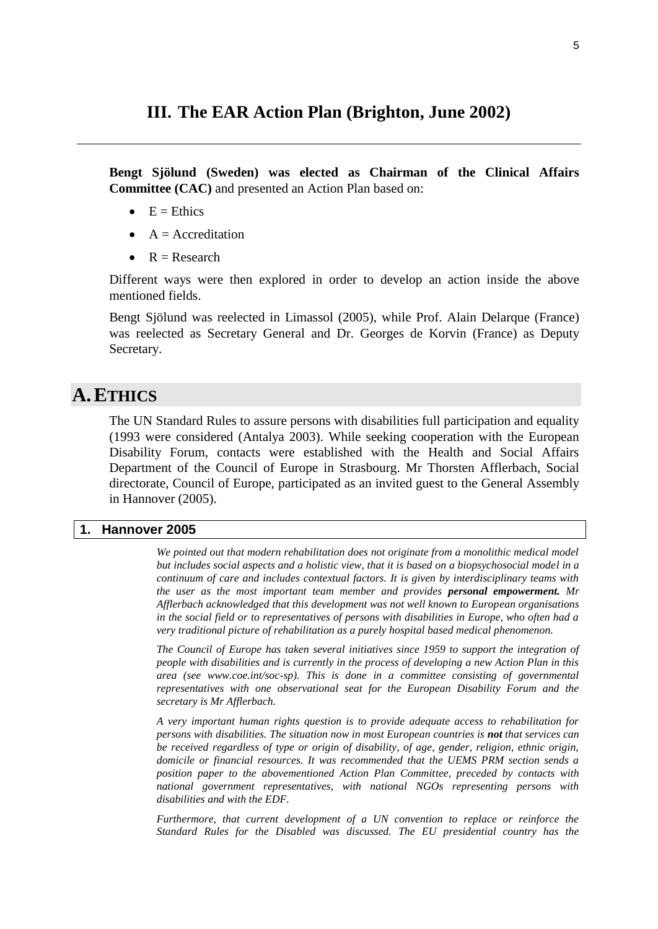# <span id="page-4-0"></span>**III. The EAR Action Plan (Brighton, June 2002)**

**Bengt Sjölund (Sweden) was elected as Chairman of the Clinical Affairs Committee (CAC)** and presented an Action Plan based on:

- $E =$ Ethics
- $A = Accreditation$
- $R =$ Research

Different ways were then explored in order to develop an action inside the above mentioned fields.

Bengt Sjölund was reelected in Limassol (2005), while Prof. Alain Delarque (France) was reelected as Secretary General and Dr. Georges de Korvin (France) as Deputy Secretary.

# <span id="page-4-1"></span>**A.ETHICS**

The UN Standard Rules to assure persons with disabilities full participation and equality (1993 were considered (Antalya 2003). While seeking cooperation with the European Disability Forum, contacts were established with the Health and Social Affairs Department of the Council of Europe in Strasbourg. Mr Thorsten Afflerbach, Social directorate, Council of Europe, participated as an invited guest to the General Assembly in Hannover (2005).

### <span id="page-4-2"></span>**1. Hannover 2005**

*We pointed out that modern rehabilitation does not originate from a monolithic medical model but includes social aspects and a holistic view, that it is based on a biopsychosocial model in a continuum of care and includes contextual factors. It is given by interdisciplinary teams with the user as the most important team member and provides personal empowerment. Mr Afflerbach acknowledged that this development was not well known to European organisations in the social field or to representatives of persons with disabilities in Europe, who often had a very traditional picture of rehabilitation as a purely hospital based medical phenomenon.* 

*The Council of Europe has taken several initiatives since 1959 to support the integration of people with disabilities and is currently in the process of developing a new Action Plan in this area (see www.coe.int/soc-sp). This is done in a committee consisting of governmental representatives with one observational seat for the European Disability Forum and the secretary is Mr Afflerbach.* 

*A very important human rights question is to provide adequate access to rehabilitation for persons with disabilities. The situation now in most European countries is not that services can be received regardless of type or origin of disability, of age, gender, religion, ethnic origin, domicile or financial resources. It was recommended that the UEMS PRM section sends a position paper to the abovementioned Action Plan Committee, preceded by contacts with national government representatives, with national NGOs representing persons with disabilities and with the EDF.*

*Furthermore, that current development of a UN convention to replace or reinforce the Standard Rules for the Disabled was discussed. The EU presidential country has the*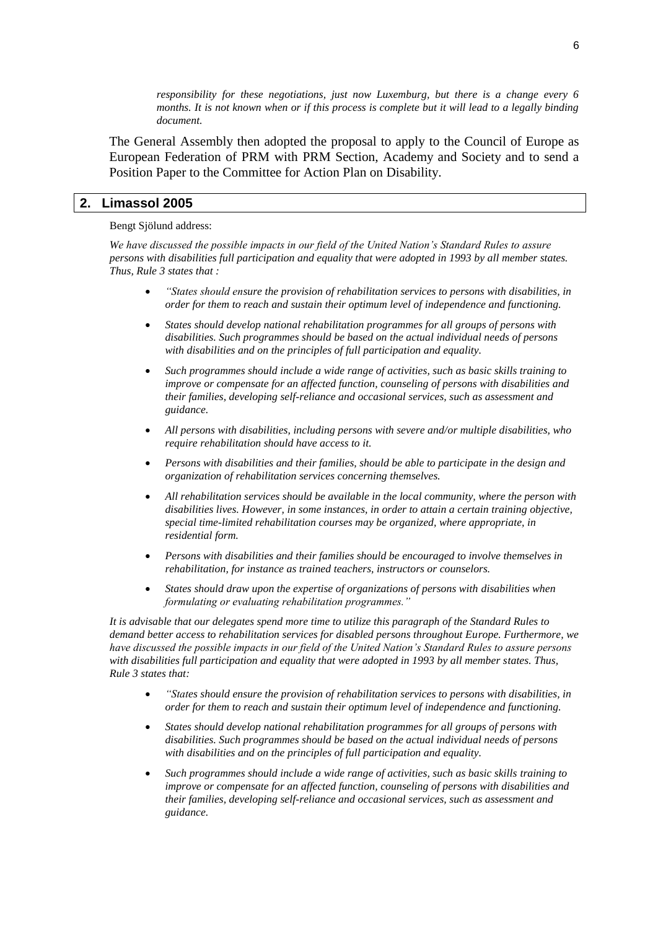*responsibility for these negotiations, just now Luxemburg, but there is a change every 6 months. It is not known when or if this process is complete but it will lead to a legally binding document.* 

The General Assembly then adopted the proposal to apply to the Council of Europe as European Federation of PRM with PRM Section, Academy and Society and to send a Position Paper to the Committee for Action Plan on Disability.

#### <span id="page-5-0"></span>**2. Limassol 2005**

#### Bengt Sjölund address:

*We have discussed the possible impacts in our field of the United Nation's Standard Rules to assure persons with disabilities full participation and equality that were adopted in 1993 by all member states. Thus, Rule 3 states that :*

- *"States should ensure the provision of rehabilitation services to persons with disabilities, in order for them to reach and sustain their optimum level of independence and functioning.*
- *States should develop national rehabilitation programmes for all groups of persons with disabilities. Such programmes should be based on the actual individual needs of persons with disabilities and on the principles of full participation and equality.*
- *Such programmes should include a wide range of activities, such as basic skills training to improve or compensate for an affected function, counseling of persons with disabilities and their families, developing self-reliance and occasional services, such as assessment and guidance.*
- *All persons with disabilities, including persons with severe and/or multiple disabilities, who require rehabilitation should have access to it.*
- *Persons with disabilities and their families, should be able to participate in the design and organization of rehabilitation services concerning themselves.*
- *All rehabilitation services should be available in the local community, where the person with disabilities lives. However, in some instances, in order to attain a certain training objective, special time-limited rehabilitation courses may be organized, where appropriate, in residential form.*
- *Persons with disabilities and their families should be encouraged to involve themselves in rehabilitation, for instance as trained teachers, instructors or counselors.*
- *States should draw upon the expertise of organizations of persons with disabilities when formulating or evaluating rehabilitation programmes."*

*It is advisable that our delegates spend more time to utilize this paragraph of the Standard Rules to demand better access to rehabilitation services for disabled persons throughout Europe. Furthermore, we have discussed the possible impacts in our field of the United Nation's Standard Rules to assure persons with disabilities full participation and equality that were adopted in 1993 by all member states. Thus, Rule 3 states that:*

- *"States should ensure the provision of rehabilitation services to persons with disabilities, in order for them to reach and sustain their optimum level of independence and functioning.*
- *States should develop national rehabilitation programmes for all groups of persons with disabilities. Such programmes should be based on the actual individual needs of persons with disabilities and on the principles of full participation and equality.*
- *Such programmes should include a wide range of activities, such as basic skills training to improve or compensate for an affected function, counseling of persons with disabilities and their families, developing self-reliance and occasional services, such as assessment and guidance.*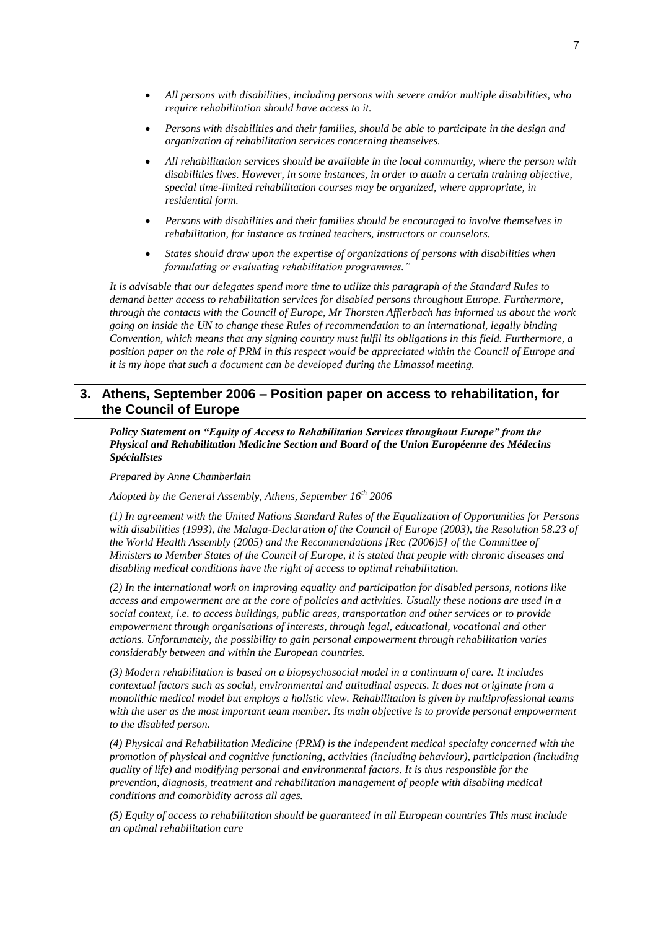- *All persons with disabilities, including persons with severe and/or multiple disabilities, who require rehabilitation should have access to it.*
- *Persons with disabilities and their families, should be able to participate in the design and organization of rehabilitation services concerning themselves.*
- *All rehabilitation services should be available in the local community, where the person with disabilities lives. However, in some instances, in order to attain a certain training objective, special time-limited rehabilitation courses may be organized, where appropriate, in residential form.*
- *Persons with disabilities and their families should be encouraged to involve themselves in rehabilitation, for instance as trained teachers, instructors or counselors.*
- *States should draw upon the expertise of organizations of persons with disabilities when formulating or evaluating rehabilitation programmes."*

*It is advisable that our delegates spend more time to utilize this paragraph of the Standard Rules to demand better access to rehabilitation services for disabled persons throughout Europe. Furthermore, through the contacts with the Council of Europe, Mr Thorsten Afflerbach has informed us about the work going on inside the UN to change these Rules of recommendation to an international, legally binding Convention, which means that any signing country must fulfil its obligations in this field. Furthermore, a position paper on the role of PRM in this respect would be appreciated within the Council of Europe and it is my hope that such a document can be developed during the Limassol meeting.*

## <span id="page-6-0"></span>**3. Athens, September 2006 – Position paper on access to rehabilitation, for the Council of Europe**

*Policy Statement on "Equity of Access to Rehabilitation Services throughout Europe" from the Physical and Rehabilitation Medicine Section and Board of the Union Européenne des Médecins Spécialistes* 

*Prepared by Anne Chamberlain*

*Adopted by the General Assembly, Athens, September 16th 2006*

*(1) In agreement with the United Nations Standard Rules of the Equalization of Opportunities for Persons with disabilities (1993), the Malaga-Declaration of the Council of Europe (2003), the Resolution 58.23 of the World Health Assembly (2005) and the Recommendations [Rec (2006)5] of the Committee of Ministers to Member States of the Council of Europe, it is stated that people with chronic diseases and disabling medical conditions have the right of access to optimal rehabilitation.* 

*(2) In the international work on improving equality and participation for disabled persons, notions like access and empowerment are at the core of policies and activities. Usually these notions are used in a social context, i.e. to access buildings, public areas, transportation and other services or to provide empowerment through organisations of interests, through legal, educational, vocational and other actions. Unfortunately, the possibility to gain personal empowerment through rehabilitation varies considerably between and within the European countries.*

*(3) Modern rehabilitation is based on a biopsychosocial model in a continuum of care. It includes contextual factors such as social, environmental and attitudinal aspects. It does not originate from a monolithic medical model but employs a holistic view. Rehabilitation is given by multiprofessional teams with the user as the most important team member. Its main objective is to provide personal empowerment to the disabled person.*

*(4) Physical and Rehabilitation Medicine (PRM) is the independent medical specialty concerned with the promotion of physical and cognitive functioning, activities (including behaviour), participation (including quality of life) and modifying personal and environmental factors. It is thus responsible for the prevention, diagnosis, treatment and rehabilitation management of people with disabling medical conditions and comorbidity across all ages.* 

*(5) Equity of access to rehabilitation should be guaranteed in all European countries This must include an optimal rehabilitation care*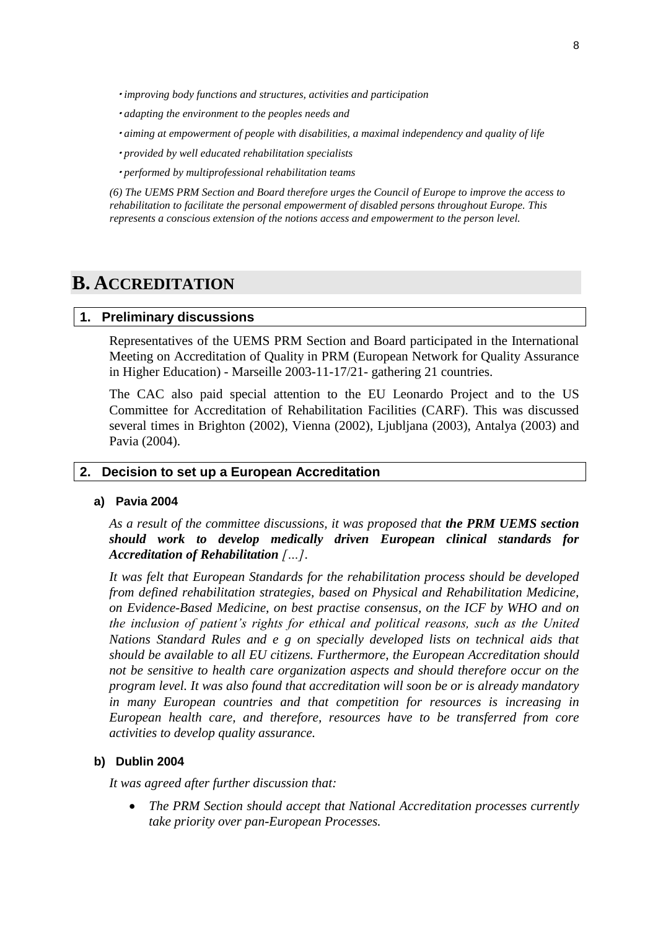- *improving body functions and structures, activities and participation*
- *adapting the environment to the peoples needs and*
- *aiming at empowerment of people with disabilities, a maximal independency and quality of life*
- *provided by well educated rehabilitation specialists*
- *performed by multiprofessional rehabilitation teams*

*(6) The UEMS PRM Section and Board therefore urges the Council of Europe to improve the access to rehabilitation to facilitate the personal empowerment of disabled persons throughout Europe. This represents a conscious extension of the notions access and empowerment to the person level.*

# <span id="page-7-1"></span><span id="page-7-0"></span>**B. ACCREDITATION**

#### **1. Preliminary discussions**

Representatives of the UEMS PRM Section and Board participated in the International Meeting on Accreditation of Quality in PRM (European Network for Quality Assurance in Higher Education) - Marseille 2003-11-17/21- gathering 21 countries.

The CAC also paid special attention to the EU Leonardo Project and to the US Committee for Accreditation of Rehabilitation Facilities (CARF). This was discussed several times in Brighton (2002), Vienna (2002), Ljubljana (2003), Antalya (2003) and Pavia (2004).

### <span id="page-7-2"></span>**2. Decision to set up a European Accreditation**

#### **a) Pavia 2004**

*As a result of the committee discussions, it was proposed that the PRM UEMS section should work to develop medically driven European clinical standards for Accreditation of Rehabilitation […].* 

*It was felt that European Standards for the rehabilitation process should be developed from defined rehabilitation strategies, based on Physical and Rehabilitation Medicine, on Evidence-Based Medicine, on best practise consensus, on the ICF by WHO and on the inclusion of patient's rights for ethical and political reasons, such as the United Nations Standard Rules and e g on specially developed lists on technical aids that should be available to all EU citizens. Furthermore, the European Accreditation should not be sensitive to health care organization aspects and should therefore occur on the program level. It was also found that accreditation will soon be or is already mandatory in many European countries and that competition for resources is increasing in European health care, and therefore, resources have to be transferred from core activities to develop quality assurance.*

#### **b) Dublin 2004**

*It was agreed after further discussion that:*

 *The PRM Section should accept that National Accreditation processes currently take priority over pan-European Processes.*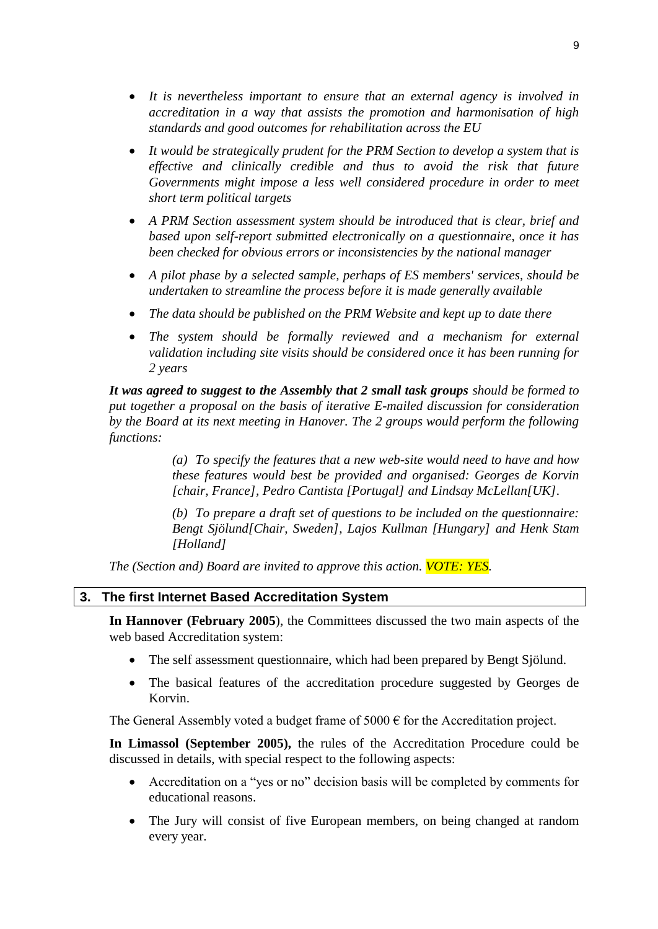- *It is nevertheless important to ensure that an external agency is involved in accreditation in a way that assists the promotion and harmonisation of high standards and good outcomes for rehabilitation across the EU*
- *It would be strategically prudent for the PRM Section to develop a system that is effective and clinically credible and thus to avoid the risk that future Governments might impose a less well considered procedure in order to meet short term political targets*
- *A PRM Section assessment system should be introduced that is clear, brief and based upon self-report submitted electronically on a questionnaire, once it has been checked for obvious errors or inconsistencies by the national manager*
- *A pilot phase by a selected sample, perhaps of ES members' services, should be undertaken to streamline the process before it is made generally available*
- *The data should be published on the PRM Website and kept up to date there*
- *The system should be formally reviewed and a mechanism for external validation including site visits should be considered once it has been running for 2 years*

*It was agreed to suggest to the Assembly that 2 small task groups should be formed to put together a proposal on the basis of iterative E-mailed discussion for consideration by the Board at its next meeting in Hanover. The 2 groups would perform the following functions:*

> *(a) To specify the features that a new web-site would need to have and how these features would best be provided and organised: Georges de Korvin [chair, France], Pedro Cantista [Portugal] and Lindsay McLellan[UK].*

> *(b) To prepare a draft set of questions to be included on the questionnaire: Bengt Sjölund[Chair, Sweden], Lajos Kullman [Hungary] and Henk Stam [Holland]*

*The (Section and) Board are invited to approve this action. VOTE: YES.*

#### <span id="page-8-0"></span>**3. The first Internet Based Accreditation System**

**In Hannover (February 2005**), the Committees discussed the two main aspects of the web based Accreditation system:

- The self assessment questionnaire, which had been prepared by Bengt Sjölund.
- The basical features of the accreditation procedure suggested by Georges de Korvin.

The General Assembly voted a budget frame of  $5000 \in$  for the Accreditation project.

**In Limassol (September 2005),** the rules of the Accreditation Procedure could be discussed in details, with special respect to the following aspects:

- Accreditation on a "yes or no" decision basis will be completed by comments for educational reasons.
- The Jury will consist of five European members, on being changed at random every year.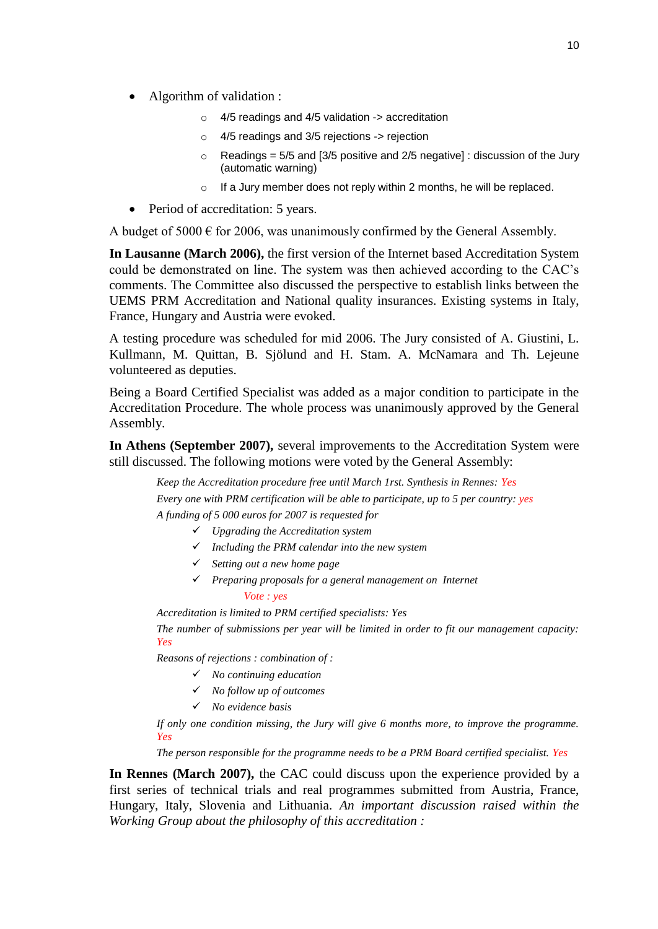- Algorithm of validation :
	- $\circ$  4/5 readings and 4/5 validation -> accreditation
	- o 4/5 readings and 3/5 rejections -> rejection
	- $\circ$  Readings = 5/5 and [3/5 positive and 2/5 negative] : discussion of the Jury (automatic warning)
	- o If a Jury member does not reply within 2 months, he will be replaced.
- Period of accreditation: 5 years.

A budget of 5000  $\epsilon$  for 2006, was unanimously confirmed by the General Assembly.

**In Lausanne (March 2006),** the first version of the Internet based Accreditation System could be demonstrated on line. The system was then achieved according to the CAC"s comments. The Committee also discussed the perspective to establish links between the UEMS PRM Accreditation and National quality insurances. Existing systems in Italy, France, Hungary and Austria were evoked.

A testing procedure was scheduled for mid 2006. The Jury consisted of A. Giustini, L. Kullmann, M. Quittan, B. Sjölund and H. Stam. A. McNamara and Th. Lejeune volunteered as deputies.

Being a Board Certified Specialist was added as a major condition to participate in the Accreditation Procedure. The whole process was unanimously approved by the General Assembly.

**In Athens (September 2007),** several improvements to the Accreditation System were still discussed. The following motions were voted by the General Assembly:

*Keep the Accreditation procedure free until March 1rst. Synthesis in Rennes: Yes Every one with PRM certification will be able to participate, up to 5 per country: yes A funding of 5 000 euros for 2007 is requested for*

- *Upgrading the Accreditation system*
- *Including the PRM calendar into the new system*
- *Setting out a new home page*
- *Preparing proposals for a general management on Internet Vote : yes*

*Accreditation is limited to PRM certified specialists: Yes*

*The number of submissions per year will be limited in order to fit our management capacity: Yes*

*Reasons of rejections : combination of :*

- *No continuing education*
- *No follow up of outcomes*
- *No evidence basis*

*If only one condition missing, the Jury will give 6 months more, to improve the programme. Yes*

*The person responsible for the programme needs to be a PRM Board certified specialist. Yes*

**In Rennes (March 2007),** the CAC could discuss upon the experience provided by a first series of technical trials and real programmes submitted from Austria, France, Hungary, Italy, Slovenia and Lithuania. *An important discussion raised within the Working Group about the philosophy of this accreditation :*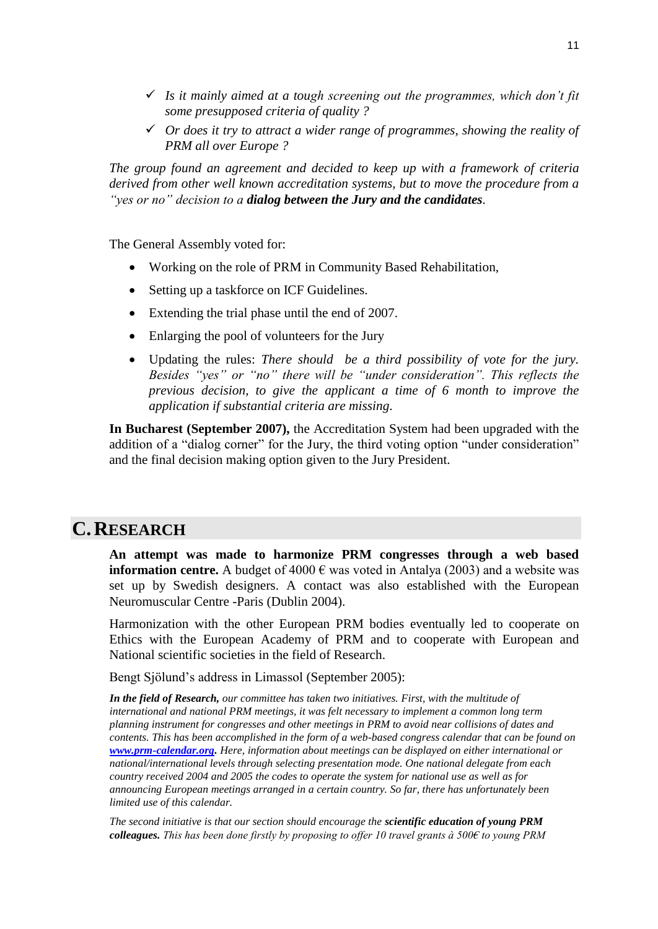- *Is it mainly aimed at a tough screening out the programmes, which don't fit some presupposed criteria of quality ?*
- *Or does it try to attract a wider range of programmes, showing the reality of PRM all over Europe ?*

*The group found an agreement and decided to keep up with a framework of criteria derived from other well known accreditation systems, but to move the procedure from a "yes or no" decision to a dialog between the Jury and the candidates.* 

The General Assembly voted for:

- Working on the role of PRM in Community Based Rehabilitation,
- Setting up a taskforce on ICF Guidelines.
- Extending the trial phase until the end of 2007.
- Enlarging the pool of volunteers for the Jury
- Updating the rules: *There should be a third possibility of vote for the jury. Besides "yes" or "no" there will be "under consideration". This reflects the previous decision, to give the applicant a time of 6 month to improve the application if substantial criteria are missing.*

**In Bucharest (September 2007),** the Accreditation System had been upgraded with the addition of a "dialog corner" for the Jury, the third voting option "under consideration" and the final decision making option given to the Jury President.

# <span id="page-10-0"></span>**C.RESEARCH**

**An attempt was made to harmonize PRM congresses through a web based information centre.** A budget of 4000  $\epsilon$  was voted in Antalya (2003) and a website was set up by Swedish designers. A contact was also established with the European Neuromuscular Centre -Paris (Dublin 2004).

Harmonization with the other European PRM bodies eventually led to cooperate on Ethics with the European Academy of PRM and to cooperate with European and National scientific societies in the field of Research.

Bengt Sjölund"s address in Limassol (September 2005):

*In the field of Research, our committee has taken two initiatives. First, with the multitude of international and national PRM meetings, it was felt necessary to implement a common long term planning instrument for congresses and other meetings in PRM to avoid near collisions of dates and contents. This has been accomplished in the form of a web-based congress calendar that can be found on [www.prm-calendar.org.](http://www.prm-calendar.org/) Here, information about meetings can be displayed on either international or national/international levels through selecting presentation mode. One national delegate from each country received 2004 and 2005 the codes to operate the system for national use as well as for announcing European meetings arranged in a certain country. So far, there has unfortunately been limited use of this calendar.*

*The second initiative is that our section should encourage the scientific education of young PRM colleagues. This has been done firstly by proposing to offer 10 travel grants à 500€ to young PRM*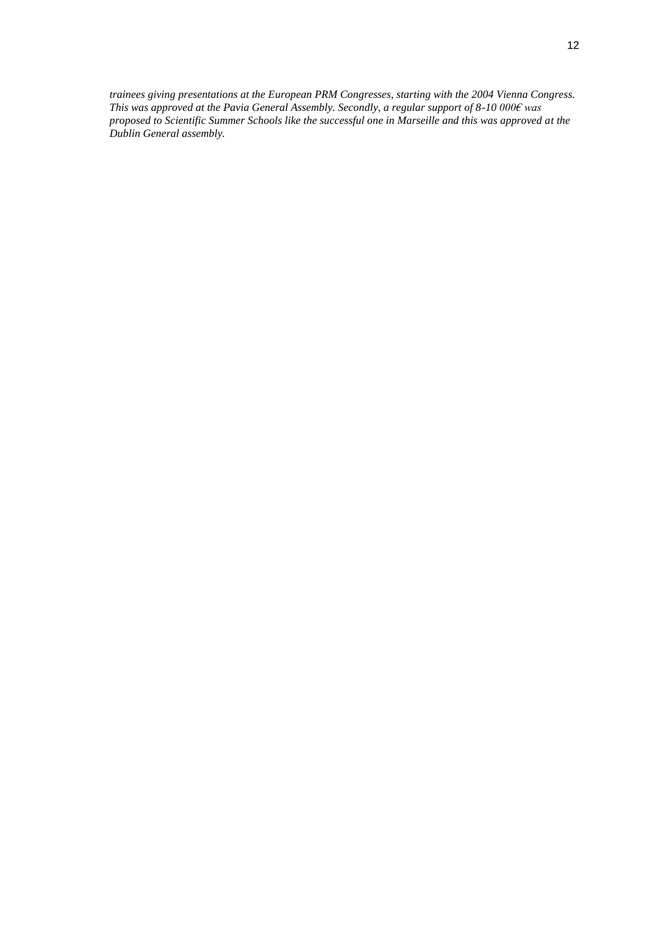*trainees giving presentations at the European PRM Congresses, starting with the 2004 Vienna Congress. This was approved at the Pavia General Assembly. Secondly, a regular support of 8-10 000€ was proposed to Scientific Summer Schools like the successful one in Marseille and this was approved at the Dublin General assembly.*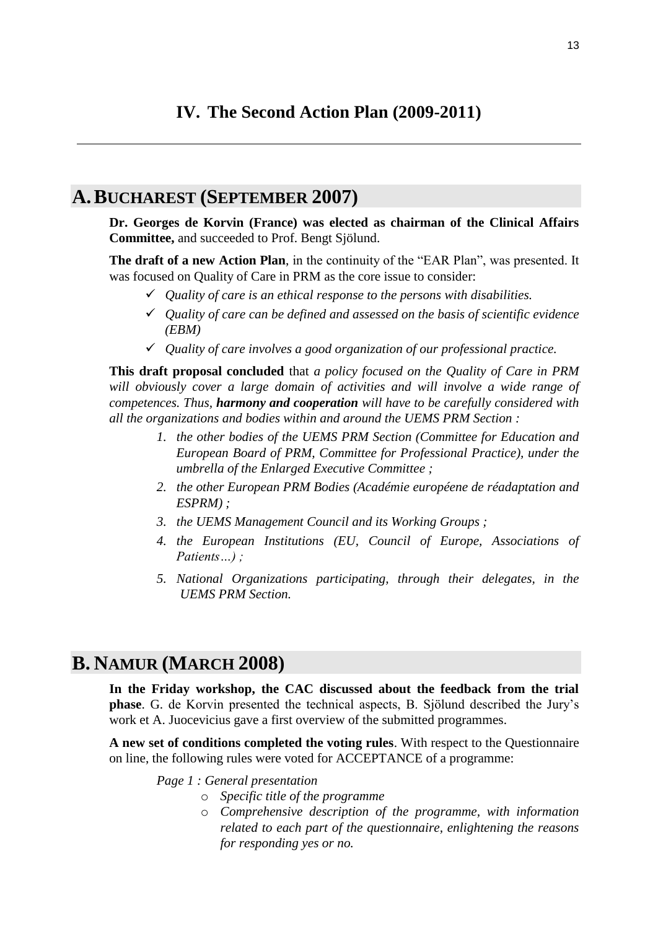# <span id="page-12-0"></span>**IV. The Second Action Plan (2009-2011)**

# <span id="page-12-1"></span>**A.BUCHAREST (SEPTEMBER 2007)**

**Dr. Georges de Korvin (France) was elected as chairman of the Clinical Affairs Committee,** and succeeded to Prof. Bengt Sjölund.

**The draft of a new Action Plan**, in the continuity of the "EAR Plan", was presented. It was focused on Quality of Care in PRM as the core issue to consider:

- *Quality of care is an ethical response to the persons with disabilities.*
- *Quality of care can be defined and assessed on the basis of scientific evidence (EBM)*
- *Quality of care involves a good organization of our professional practice.*

**This draft proposal concluded** that *a policy focused on the Quality of Care in PRM will obviously cover a large domain of activities and will involve a wide range of competences. Thus, harmony and cooperation will have to be carefully considered with all the organizations and bodies within and around the UEMS PRM Section :*

- *1. the other bodies of the UEMS PRM Section (Committee for Education and European Board of PRM, Committee for Professional Practice), under the umbrella of the Enlarged Executive Committee ;*
- *2. the other European PRM Bodies (Académie européene de réadaptation and ESPRM) ;*
- *3. the UEMS Management Council and its Working Groups ;*
- *4. the European Institutions (EU, Council of Europe, Associations of Patients…) ;*
- *5. National Organizations participating, through their delegates, in the UEMS PRM Section.*

# <span id="page-12-2"></span>**B. NAMUR (MARCH 2008)**

**In the Friday workshop, the CAC discussed about the feedback from the trial phase**. G. de Korvin presented the technical aspects, B. Sjölund described the Jury"s work et A. Juocevicius gave a first overview of the submitted programmes.

**A new set of conditions completed the voting rules**. With respect to the Questionnaire on line, the following rules were voted for ACCEPTANCE of a programme:

*Page 1 : General presentation*

- o *Specific title of the programme*
- o *Comprehensive description of the programme, with information related to each part of the questionnaire, enlightening the reasons for responding yes or no.*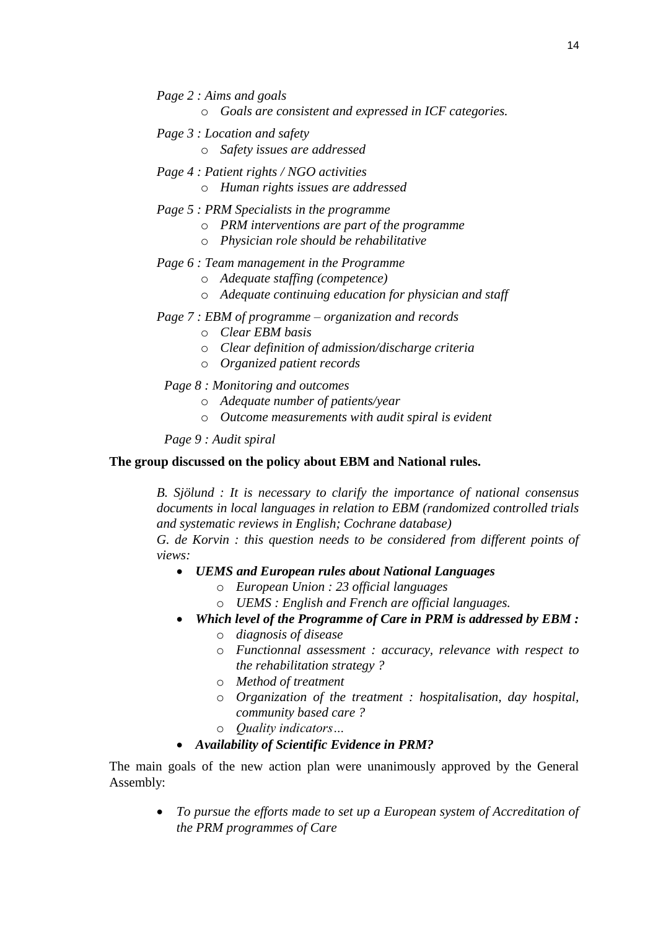- *Page 2 : Aims and goals*
	- o *Goals are consistent and expressed in ICF categories.*
- *Page 3 : Location and safety* o *Safety issues are addressed*
- *Page 4 : Patient rights / NGO activities* o *Human rights issues are addressed*
- *Page 5 : PRM Specialists in the programme*
	- o *PRM interventions are part of the programme*
	- o *Physician role should be rehabilitative*

### *Page 6 : Team management in the Programme*

- o *Adequate staffing (competence)*
- o *Adequate continuing education for physician and staff*
- *Page 7 : EBM of programme – organization and records*
	- o *Clear EBM basis*
	- o *Clear definition of admission/discharge criteria*
	- o *Organized patient records*
	- *Page 8 : Monitoring and outcomes*
		- o *Adequate number of patients/year*
		- o *Outcome measurements with audit spiral is evident*

*Page 9 : Audit spiral*

### **The group discussed on the policy about EBM and National rules.**

*B. Sjölund : It is necessary to clarify the importance of national consensus documents in local languages in relation to EBM (randomized controlled trials and systematic reviews in English; Cochrane database)*

*G. de Korvin : this question needs to be considered from different points of views:*

- *UEMS and European rules about National Languages*
	- o *European Union : 23 official languages*
	- o *UEMS : English and French are official languages.*
- *Which level of the Programme of Care in PRM is addressed by EBM :*  o *diagnosis of disease*
	-
	- o *Functionnal assessment : accuracy, relevance with respect to the rehabilitation strategy ?*
	- o *Method of treatment*
	- o *Organization of the treatment : hospitalisation, day hospital, community based care ?*
	- o *Quality indicators…*
- *Availability of Scientific Evidence in PRM?*

The main goals of the new action plan were unanimously approved by the General Assembly:

 *To pursue the efforts made to set up a European system of Accreditation of the PRM programmes of Care*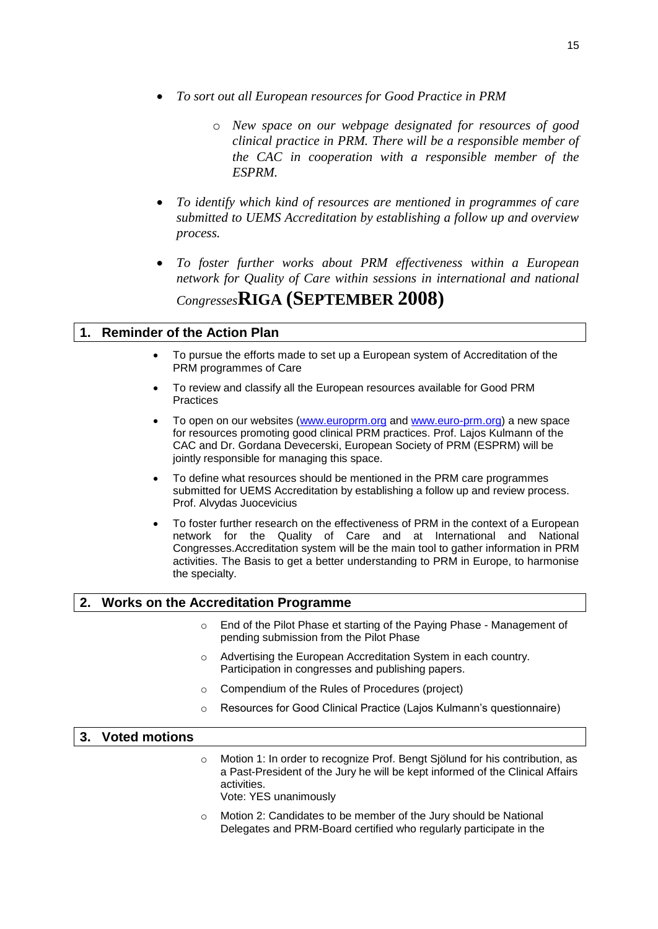- *To sort out all European resources for Good Practice in PRM*
	- o *New space on our webpage designated for resources of good clinical practice in PRM. There will be a responsible member of the CAC in cooperation with a responsible member of the ESPRM.*
- *To identify which kind of resources are mentioned in programmes of care submitted to UEMS Accreditation by establishing a follow up and overview process.*
- <span id="page-14-0"></span> *To foster further works about PRM effectiveness within a European network for Quality of Care within sessions in international and national Congresses***RIGA (SEPTEMBER 2008)**

# <span id="page-14-1"></span>**1. Reminder of the Action Plan**

- To pursue the efforts made to set up a European system of Accreditation of the PRM programmes of Care
- To review and classify all the European resources available for Good PRM **Practices**
- To open on our websites [\(www.europrm.org](http://www.europrm.org/) and [www.euro-prm.org\)](http://www.euro-prm.org/) a new space for resources promoting good clinical PRM practices. Prof. Lajos Kulmann of the CAC and Dr. Gordana Devecerski, European Society of PRM (ESPRM) will be jointly responsible for managing this space.
- To define what resources should be mentioned in the PRM care programmes submitted for UEMS Accreditation by establishing a follow up and review process. Prof. Alvydas Juocevicius
- To foster further research on the effectiveness of PRM in the context of a European network for the Quality of Care and at International and National Congresses.Accreditation system will be the main tool to gather information in PRM activities. The Basis to get a better understanding to PRM in Europe, to harmonise the specialty.

# <span id="page-14-2"></span>**2. Works on the Accreditation Programme**

- o End of the Pilot Phase et starting of the Paying Phase Management of pending submission from the Pilot Phase
- o Advertising the European Accreditation System in each country. Participation in congresses and publishing papers.
- o Compendium of the Rules of Procedures (project)
- o Resources for Good Clinical Practice (Lajos Kulmann's questionnaire)

### <span id="page-14-3"></span>**3. Voted motions**

- o Motion 1: In order to recognize Prof. Bengt Sjölund for his contribution, as a Past-President of the Jury he will be kept informed of the Clinical Affairs activities. Vote: YES unanimously
- o Motion 2: Candidates to be member of the Jury should be National Delegates and PRM-Board certified who regularly participate in the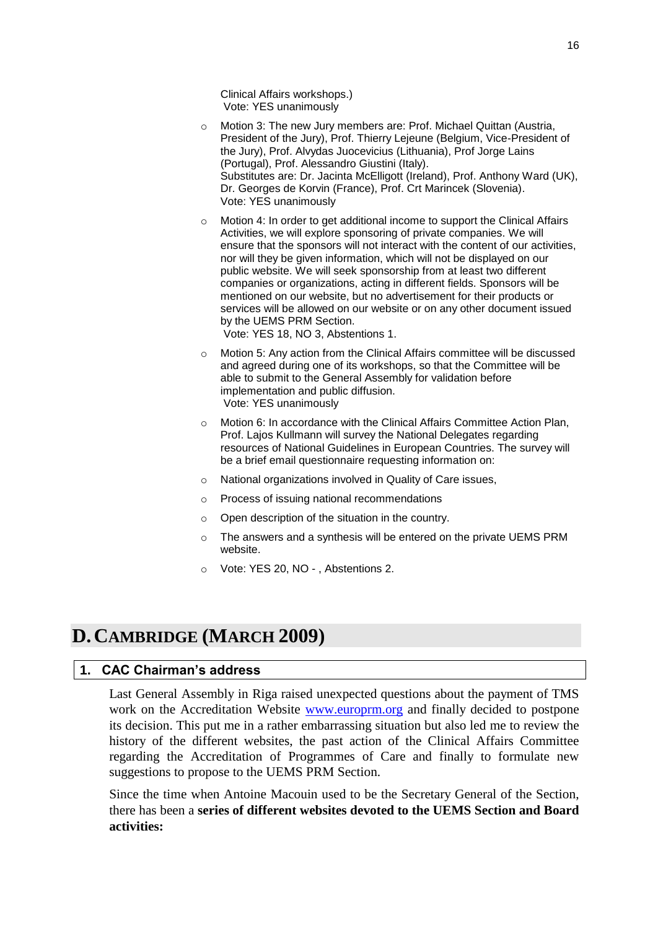Clinical Affairs workshops.) Vote: YES unanimously

- o Motion 3: The new Jury members are: Prof. Michael Quittan (Austria, President of the Jury), Prof. Thierry Lejeune (Belgium, Vice-President of the Jury), Prof. Alvydas Juocevicius (Lithuania), Prof Jorge Lains (Portugal), Prof. Alessandro Giustini (Italy). Substitutes are: Dr. Jacinta McElligott (Ireland), Prof. Anthony Ward (UK), Dr. Georges de Korvin (France), Prof. Crt Marincek (Slovenia). Vote: YES unanimously
- o Motion 4: In order to get additional income to support the Clinical Affairs Activities, we will explore sponsoring of private companies. We will ensure that the sponsors will not interact with the content of our activities, nor will they be given information, which will not be displayed on our public website. We will seek sponsorship from at least two different companies or organizations, acting in different fields. Sponsors will be mentioned on our website, but no advertisement for their products or services will be allowed on our website or on any other document issued by the UEMS PRM Section.

Vote: YES 18, NO 3, Abstentions 1.

- o Motion 5: Any action from the Clinical Affairs committee will be discussed and agreed during one of its workshops, so that the Committee will be able to submit to the General Assembly for validation before implementation and public diffusion. Vote: YES unanimously
- o Motion 6: In accordance with the Clinical Affairs Committee Action Plan, Prof. Lajos Kullmann will survey the National Delegates regarding resources of National Guidelines in European Countries. The survey will be a brief email questionnaire requesting information on:
- o National organizations involved in Quality of Care issues,
- o Process of issuing national recommendations
- o Open description of the situation in the country.
- o The answers and a synthesis will be entered on the private UEMS PRM website.
- o Vote: YES 20, NO , Abstentions 2.

# <span id="page-15-0"></span>**D.CAMBRIDGE (MARCH 2009)**

# <span id="page-15-1"></span>**1. CAC Chairman's address**

Last General Assembly in Riga raised unexpected questions about the payment of TMS work on the Accreditation Website [www.europrm.org](http://www.europrm.org/) and finally decided to postpone its decision. This put me in a rather embarrassing situation but also led me to review the history of the different websites, the past action of the Clinical Affairs Committee regarding the Accreditation of Programmes of Care and finally to formulate new suggestions to propose to the UEMS PRM Section.

Since the time when Antoine Macouin used to be the Secretary General of the Section, there has been a **series of different websites devoted to the UEMS Section and Board activities:**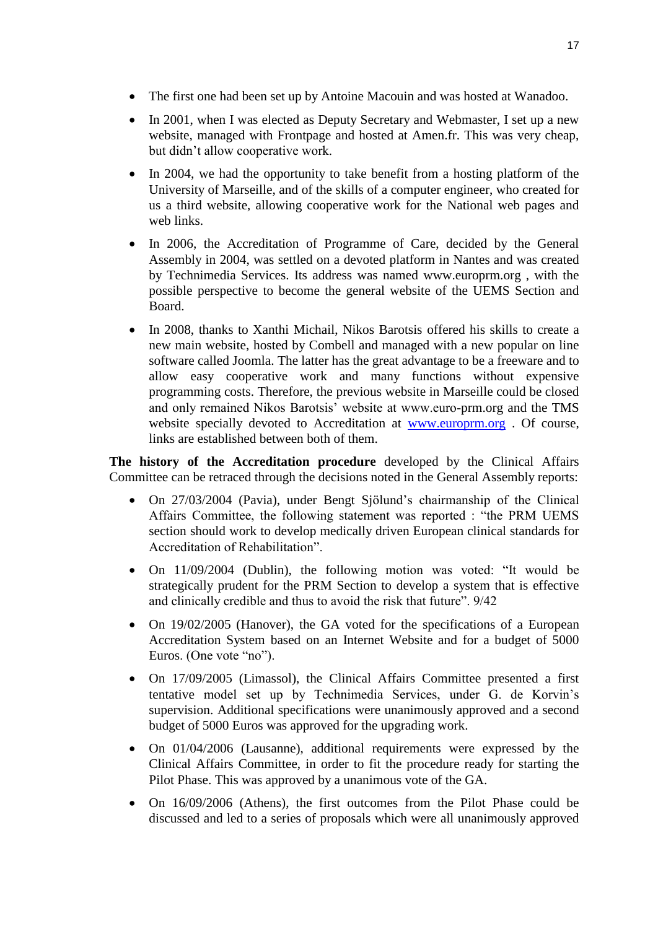- The first one had been set up by Antoine Macouin and was hosted at Wanadoo.
- In 2001, when I was elected as Deputy Secretary and Webmaster, I set up a new website, managed with Frontpage and hosted at Amen.fr. This was very cheap, but didn"t allow cooperative work.
- In 2004, we had the opportunity to take benefit from a hosting platform of the University of Marseille, and of the skills of a computer engineer, who created for us a third website, allowing cooperative work for the National web pages and web links.
- In 2006, the Accreditation of Programme of Care, decided by the General Assembly in 2004, was settled on a devoted platform in Nantes and was created by Technimedia Services. Its address was named www.europrm.org , with the possible perspective to become the general website of the UEMS Section and Board.
- In 2008, thanks to Xanthi Michail, Nikos Barotsis offered his skills to create a new main website, hosted by Combell and managed with a new popular on line software called Joomla. The latter has the great advantage to be a freeware and to allow easy cooperative work and many functions without expensive programming costs. Therefore, the previous website in Marseille could be closed and only remained Nikos Barotsis' website at www.euro-prm.org and the TMS website specially devoted to Accreditation at [www.europrm.org](http://www.europrm.org/). Of course, links are established between both of them.

**The history of the Accreditation procedure** developed by the Clinical Affairs Committee can be retraced through the decisions noted in the General Assembly reports:

- On 27/03/2004 (Pavia), under Bengt Sjölund's chairmanship of the Clinical Affairs Committee, the following statement was reported : "the PRM UEMS section should work to develop medically driven European clinical standards for Accreditation of Rehabilitation".
- On 11/09/2004 (Dublin), the following motion was voted: "It would be strategically prudent for the PRM Section to develop a system that is effective and clinically credible and thus to avoid the risk that future". 9/42
- On 19/02/2005 (Hanover), the GA voted for the specifications of a European Accreditation System based on an Internet Website and for a budget of 5000 Euros. (One vote "no").
- On 17/09/2005 (Limassol), the Clinical Affairs Committee presented a first tentative model set up by Technimedia Services, under G. de Korvin"s supervision. Additional specifications were unanimously approved and a second budget of 5000 Euros was approved for the upgrading work.
- On 01/04/2006 (Lausanne), additional requirements were expressed by the Clinical Affairs Committee, in order to fit the procedure ready for starting the Pilot Phase. This was approved by a unanimous vote of the GA.
- On 16/09/2006 (Athens), the first outcomes from the Pilot Phase could be discussed and led to a series of proposals which were all unanimously approved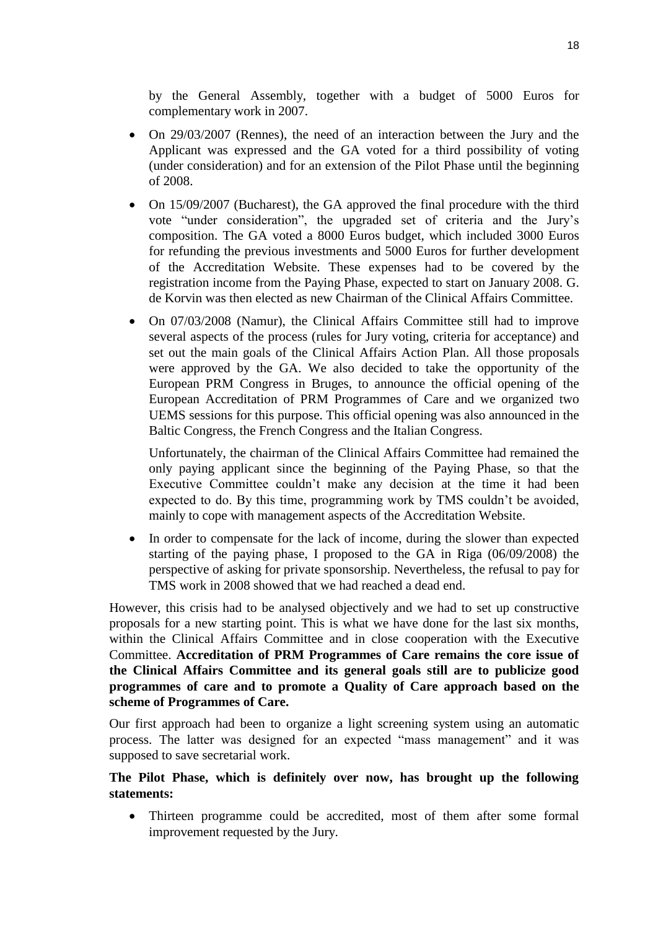by the General Assembly, together with a budget of 5000 Euros for complementary work in 2007.

- On 29/03/2007 (Rennes), the need of an interaction between the Jury and the Applicant was expressed and the GA voted for a third possibility of voting (under consideration) and for an extension of the Pilot Phase until the beginning of 2008.
- On 15/09/2007 (Bucharest), the GA approved the final procedure with the third vote "under consideration", the upgraded set of criteria and the Jury"s composition. The GA voted a 8000 Euros budget, which included 3000 Euros for refunding the previous investments and 5000 Euros for further development of the Accreditation Website. These expenses had to be covered by the registration income from the Paying Phase, expected to start on January 2008. G. de Korvin was then elected as new Chairman of the Clinical Affairs Committee.
- On 07/03/2008 (Namur), the Clinical Affairs Committee still had to improve several aspects of the process (rules for Jury voting, criteria for acceptance) and set out the main goals of the Clinical Affairs Action Plan. All those proposals were approved by the GA. We also decided to take the opportunity of the European PRM Congress in Bruges, to announce the official opening of the European Accreditation of PRM Programmes of Care and we organized two UEMS sessions for this purpose. This official opening was also announced in the Baltic Congress, the French Congress and the Italian Congress.

Unfortunately, the chairman of the Clinical Affairs Committee had remained the only paying applicant since the beginning of the Paying Phase, so that the Executive Committee couldn"t make any decision at the time it had been expected to do. By this time, programming work by TMS couldn't be avoided, mainly to cope with management aspects of the Accreditation Website.

• In order to compensate for the lack of income, during the slower than expected starting of the paying phase, I proposed to the GA in Riga (06/09/2008) the perspective of asking for private sponsorship. Nevertheless, the refusal to pay for TMS work in 2008 showed that we had reached a dead end.

However, this crisis had to be analysed objectively and we had to set up constructive proposals for a new starting point. This is what we have done for the last six months, within the Clinical Affairs Committee and in close cooperation with the Executive Committee. **Accreditation of PRM Programmes of Care remains the core issue of the Clinical Affairs Committee and its general goals still are to publicize good programmes of care and to promote a Quality of Care approach based on the scheme of Programmes of Care.**

Our first approach had been to organize a light screening system using an automatic process. The latter was designed for an expected "mass management" and it was supposed to save secretarial work.

## **The Pilot Phase, which is definitely over now, has brought up the following statements:**

• Thirteen programme could be accredited, most of them after some formal improvement requested by the Jury.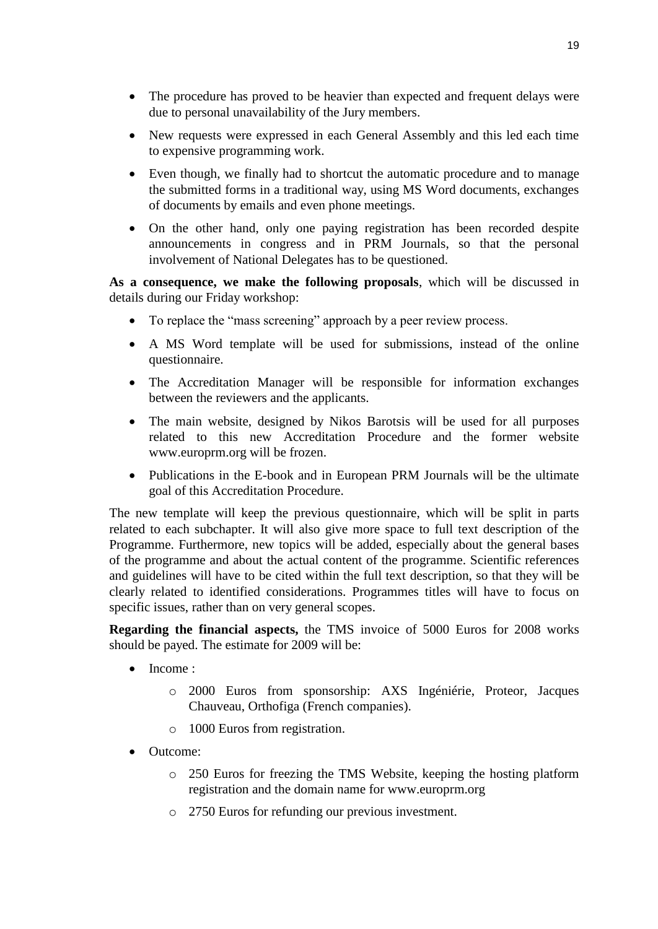- The procedure has proved to be heavier than expected and frequent delays were due to personal unavailability of the Jury members.
- New requests were expressed in each General Assembly and this led each time to expensive programming work.
- Even though, we finally had to shortcut the automatic procedure and to manage the submitted forms in a traditional way, using MS Word documents, exchanges of documents by emails and even phone meetings.
- On the other hand, only one paying registration has been recorded despite announcements in congress and in PRM Journals, so that the personal involvement of National Delegates has to be questioned.

**As a consequence, we make the following proposals**, which will be discussed in details during our Friday workshop:

- To replace the "mass screening" approach by a peer review process.
- A MS Word template will be used for submissions, instead of the online questionnaire.
- The Accreditation Manager will be responsible for information exchanges between the reviewers and the applicants.
- The main website, designed by Nikos Barotsis will be used for all purposes related to this new Accreditation Procedure and the former website www.europrm.org will be frozen.
- Publications in the E-book and in European PRM Journals will be the ultimate goal of this Accreditation Procedure.

The new template will keep the previous questionnaire, which will be split in parts related to each subchapter. It will also give more space to full text description of the Programme. Furthermore, new topics will be added, especially about the general bases of the programme and about the actual content of the programme. Scientific references and guidelines will have to be cited within the full text description, so that they will be clearly related to identified considerations. Programmes titles will have to focus on specific issues, rather than on very general scopes.

**Regarding the financial aspects,** the TMS invoice of 5000 Euros for 2008 works should be payed. The estimate for 2009 will be:

- Income :
	- o 2000 Euros from sponsorship: AXS Ingéniérie, Proteor, Jacques Chauveau, Orthofiga (French companies).
	- o 1000 Euros from registration.
- Outcome:
	- o 250 Euros for freezing the TMS Website, keeping the hosting platform registration and the domain name for www.europrm.org
	- o 2750 Euros for refunding our previous investment.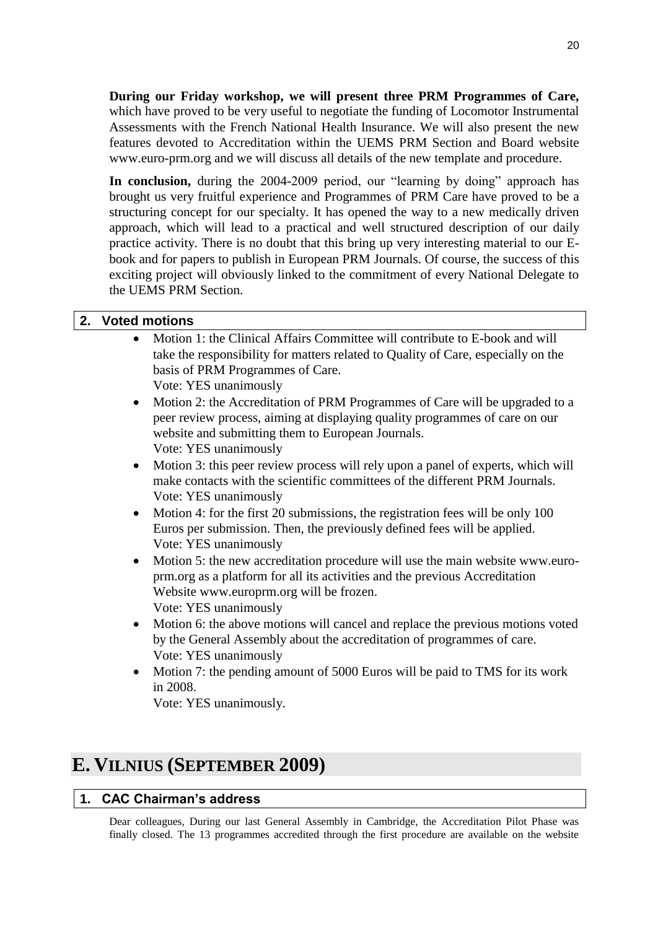**During our Friday workshop, we will present three PRM Programmes of Care,** which have proved to be very useful to negotiate the funding of Locomotor Instrumental Assessments with the French National Health Insurance. We will also present the new features devoted to Accreditation within the UEMS PRM Section and Board website www.euro-prm.org and we will discuss all details of the new template and procedure.

**In conclusion,** during the 2004-2009 period, our "learning by doing" approach has brought us very fruitful experience and Programmes of PRM Care have proved to be a structuring concept for our specialty. It has opened the way to a new medically driven approach, which will lead to a practical and well structured description of our daily practice activity. There is no doubt that this bring up very interesting material to our Ebook and for papers to publish in European PRM Journals. Of course, the success of this exciting project will obviously linked to the commitment of every National Delegate to the UEMS PRM Section.

# <span id="page-19-0"></span>**2. Voted motions**

- Motion 1: the Clinical Affairs Committee will contribute to E-book and will take the responsibility for matters related to Quality of Care, especially on the basis of PRM Programmes of Care. Vote: YES unanimously
- Motion 2: the Accreditation of PRM Programmes of Care will be upgraded to a peer review process, aiming at displaying quality programmes of care on our website and submitting them to European Journals. Vote: YES unanimously
- Motion 3: this peer review process will rely upon a panel of experts, which will make contacts with the scientific committees of the different PRM Journals. Vote: YES unanimously
- Motion 4: for the first 20 submissions, the registration fees will be only 100 Euros per submission. Then, the previously defined fees will be applied. Vote: YES unanimously
- Motion 5: the new accreditation procedure will use the main website www.europrm.org as a platform for all its activities and the previous Accreditation Website www.europrm.org will be frozen. Vote: YES unanimously
- Motion 6: the above motions will cancel and replace the previous motions voted by the General Assembly about the accreditation of programmes of care. Vote: YES unanimously
- Motion 7: the pending amount of 5000 Euros will be paid to TMS for its work in 2008.

Vote: YES unanimously.

# <span id="page-19-1"></span>**E. VILNIUS (SEPTEMBER 2009)**

## <span id="page-19-2"></span>**1. CAC Chairman's address**

Dear colleagues, During our last General Assembly in Cambridge, the Accreditation Pilot Phase was finally closed. The 13 programmes accredited through the first procedure are available on the website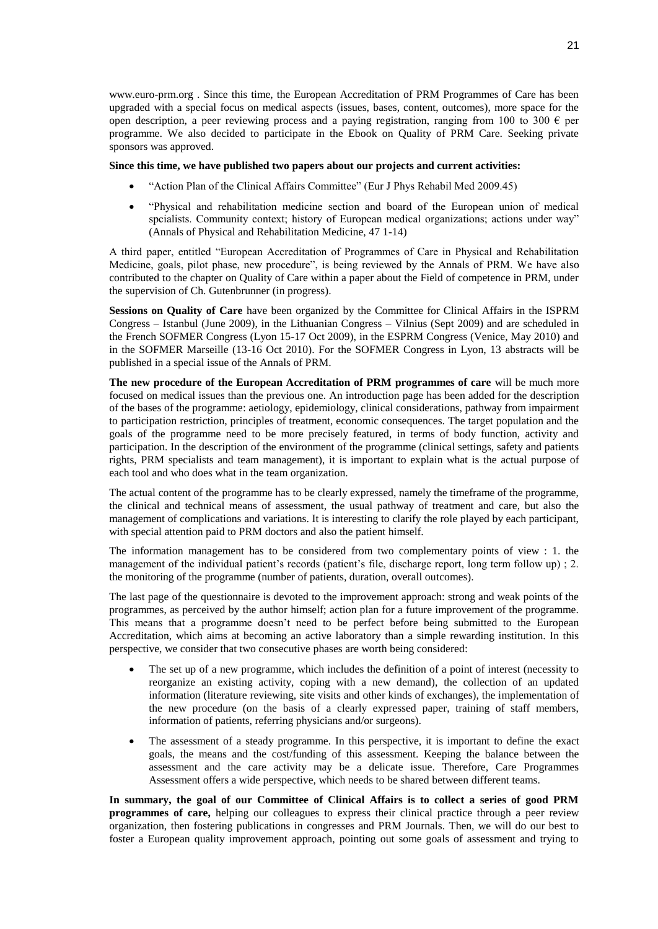www.euro-prm.org . Since this time, the European Accreditation of PRM Programmes of Care has been upgraded with a special focus on medical aspects (issues, bases, content, outcomes), more space for the open description, a peer reviewing process and a paying registration, ranging from 100 to 300  $\epsilon$  per programme. We also decided to participate in the Ebook on Quality of PRM Care. Seeking private sponsors was approved.

#### **Since this time, we have published two papers about our projects and current activities:**

- "Action Plan of the Clinical Affairs Committee" (Eur J Phys Rehabil Med 2009.45)
- "Physical and rehabilitation medicine section and board of the European union of medical spcialists. Community context; history of European medical organizations; actions under way" (Annals of Physical and Rehabilitation Medicine, 47 1-14)

A third paper, entitled "European Accreditation of Programmes of Care in Physical and Rehabilitation Medicine, goals, pilot phase, new procedure", is being reviewed by the Annals of PRM. We have also contributed to the chapter on Quality of Care within a paper about the Field of competence in PRM, under the supervision of Ch. Gutenbrunner (in progress).

**Sessions on Quality of Care** have been organized by the Committee for Clinical Affairs in the ISPRM Congress – Istanbul (June 2009), in the Lithuanian Congress – Vilnius (Sept 2009) and are scheduled in the French SOFMER Congress (Lyon 15-17 Oct 2009), in the ESPRM Congress (Venice, May 2010) and in the SOFMER Marseille (13-16 Oct 2010). For the SOFMER Congress in Lyon, 13 abstracts will be published in a special issue of the Annals of PRM.

**The new procedure of the European Accreditation of PRM programmes of care** will be much more focused on medical issues than the previous one. An introduction page has been added for the description of the bases of the programme: aetiology, epidemiology, clinical considerations, pathway from impairment to participation restriction, principles of treatment, economic consequences. The target population and the goals of the programme need to be more precisely featured, in terms of body function, activity and participation. In the description of the environment of the programme (clinical settings, safety and patients rights, PRM specialists and team management), it is important to explain what is the actual purpose of each tool and who does what in the team organization.

The actual content of the programme has to be clearly expressed, namely the timeframe of the programme, the clinical and technical means of assessment, the usual pathway of treatment and care, but also the management of complications and variations. It is interesting to clarify the role played by each participant, with special attention paid to PRM doctors and also the patient himself.

The information management has to be considered from two complementary points of view : 1. the management of the individual patient's records (patient's file, discharge report, long term follow up) ; 2. the monitoring of the programme (number of patients, duration, overall outcomes).

The last page of the questionnaire is devoted to the improvement approach: strong and weak points of the programmes, as perceived by the author himself; action plan for a future improvement of the programme. This means that a programme doesn"t need to be perfect before being submitted to the European Accreditation, which aims at becoming an active laboratory than a simple rewarding institution. In this perspective, we consider that two consecutive phases are worth being considered:

- The set up of a new programme, which includes the definition of a point of interest (necessity to reorganize an existing activity, coping with a new demand), the collection of an updated information (literature reviewing, site visits and other kinds of exchanges), the implementation of the new procedure (on the basis of a clearly expressed paper, training of staff members, information of patients, referring physicians and/or surgeons).
- The assessment of a steady programme. In this perspective, it is important to define the exact goals, the means and the cost/funding of this assessment. Keeping the balance between the assessment and the care activity may be a delicate issue. Therefore, Care Programmes Assessment offers a wide perspective, which needs to be shared between different teams.

**In summary, the goal of our Committee of Clinical Affairs is to collect a series of good PRM programmes of care,** helping our colleagues to express their clinical practice through a peer review organization, then fostering publications in congresses and PRM Journals. Then, we will do our best to foster a European quality improvement approach, pointing out some goals of assessment and trying to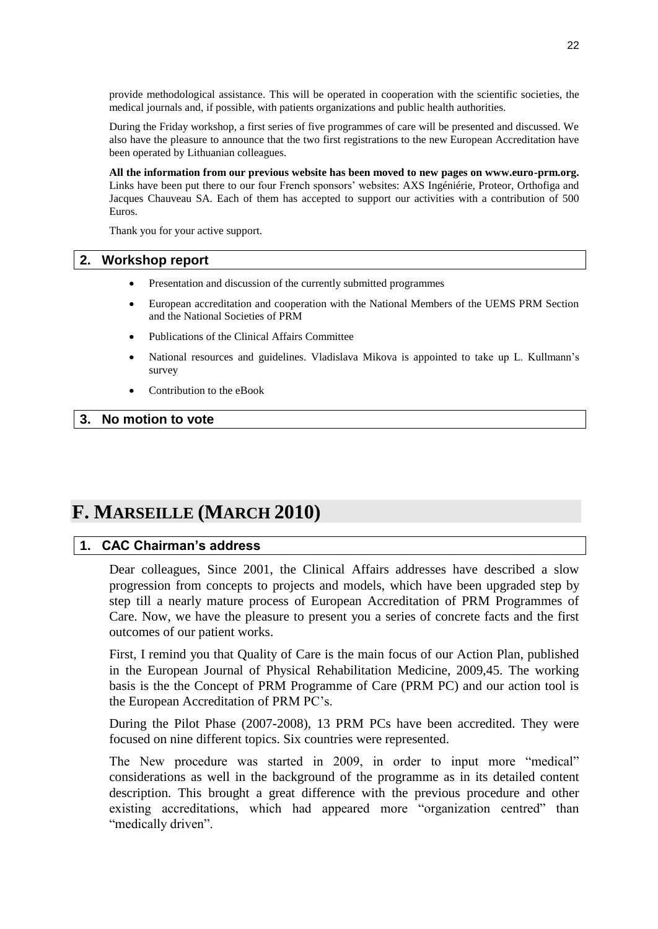provide methodological assistance. This will be operated in cooperation with the scientific societies, the medical journals and, if possible, with patients organizations and public health authorities.

During the Friday workshop, a first series of five programmes of care will be presented and discussed. We also have the pleasure to announce that the two first registrations to the new European Accreditation have been operated by Lithuanian colleagues.

**All the information from our previous website has been moved to new pages on www.euro-prm.org.** Links have been put there to our four French sponsors" websites: AXS Ingéniérie, Proteor, Orthofiga and Jacques Chauveau SA. Each of them has accepted to support our activities with a contribution of 500 Euros.

Thank you for your active support.

### <span id="page-21-0"></span>**2. Workshop report**

- Presentation and discussion of the currently submitted programmes
- European accreditation and cooperation with the National Members of the UEMS PRM Section and the National Societies of PRM
- Publications of the Clinical Affairs Committee
- National resources and guidelines. Vladislava Mikova is appointed to take up L. Kullmann"s survey
- Contribution to the eBook

### <span id="page-21-1"></span>**3. No motion to vote**

# <span id="page-21-2"></span>**F. MARSEILLE (MARCH 2010)**

# <span id="page-21-3"></span>**1. CAC Chairman's address**

Dear colleagues, Since 2001, the Clinical Affairs addresses have described a slow progression from concepts to projects and models, which have been upgraded step by step till a nearly mature process of European Accreditation of PRM Programmes of Care. Now, we have the pleasure to present you a series of concrete facts and the first outcomes of our patient works.

First, I remind you that Quality of Care is the main focus of our Action Plan, published in the European Journal of Physical Rehabilitation Medicine, 2009,45. The working basis is the the Concept of PRM Programme of Care (PRM PC) and our action tool is the European Accreditation of PRM PC"s.

During the Pilot Phase (2007-2008), 13 PRM PCs have been accredited. They were focused on nine different topics. Six countries were represented.

The New procedure was started in 2009, in order to input more "medical" considerations as well in the background of the programme as in its detailed content description. This brought a great difference with the previous procedure and other existing accreditations, which had appeared more "organization centred" than "medically driven".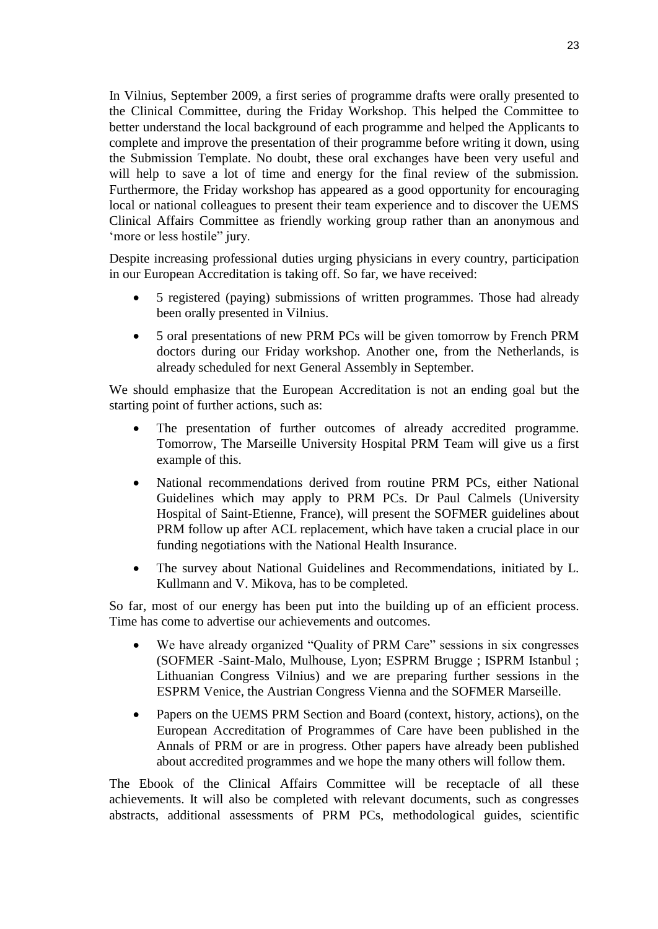In Vilnius, September 2009, a first series of programme drafts were orally presented to the Clinical Committee, during the Friday Workshop. This helped the Committee to better understand the local background of each programme and helped the Applicants to complete and improve the presentation of their programme before writing it down, using the Submission Template. No doubt, these oral exchanges have been very useful and will help to save a lot of time and energy for the final review of the submission. Furthermore, the Friday workshop has appeared as a good opportunity for encouraging local or national colleagues to present their team experience and to discover the UEMS Clinical Affairs Committee as friendly working group rather than an anonymous and 'more or less hostile" jury.

Despite increasing professional duties urging physicians in every country, participation in our European Accreditation is taking off. So far, we have received:

- 5 registered (paying) submissions of written programmes. Those had already been orally presented in Vilnius.
- 5 oral presentations of new PRM PCs will be given tomorrow by French PRM doctors during our Friday workshop. Another one, from the Netherlands, is already scheduled for next General Assembly in September.

We should emphasize that the European Accreditation is not an ending goal but the starting point of further actions, such as:

- The presentation of further outcomes of already accredited programme. Tomorrow, The Marseille University Hospital PRM Team will give us a first example of this.
- National recommendations derived from routine PRM PCs, either National Guidelines which may apply to PRM PCs. Dr Paul Calmels (University Hospital of Saint-Etienne, France), will present the SOFMER guidelines about PRM follow up after ACL replacement, which have taken a crucial place in our funding negotiations with the National Health Insurance.
- The survey about National Guidelines and Recommendations, initiated by L. Kullmann and V. Mikova, has to be completed.

So far, most of our energy has been put into the building up of an efficient process. Time has come to advertise our achievements and outcomes.

- We have already organized "Quality of PRM Care" sessions in six congresses (SOFMER -Saint-Malo, Mulhouse, Lyon; ESPRM Brugge ; ISPRM Istanbul ; Lithuanian Congress Vilnius) and we are preparing further sessions in the ESPRM Venice, the Austrian Congress Vienna and the SOFMER Marseille.
- Papers on the UEMS PRM Section and Board (context, history, actions), on the European Accreditation of Programmes of Care have been published in the Annals of PRM or are in progress. Other papers have already been published about accredited programmes and we hope the many others will follow them.

The Ebook of the Clinical Affairs Committee will be receptacle of all these achievements. It will also be completed with relevant documents, such as congresses abstracts, additional assessments of PRM PCs, methodological guides, scientific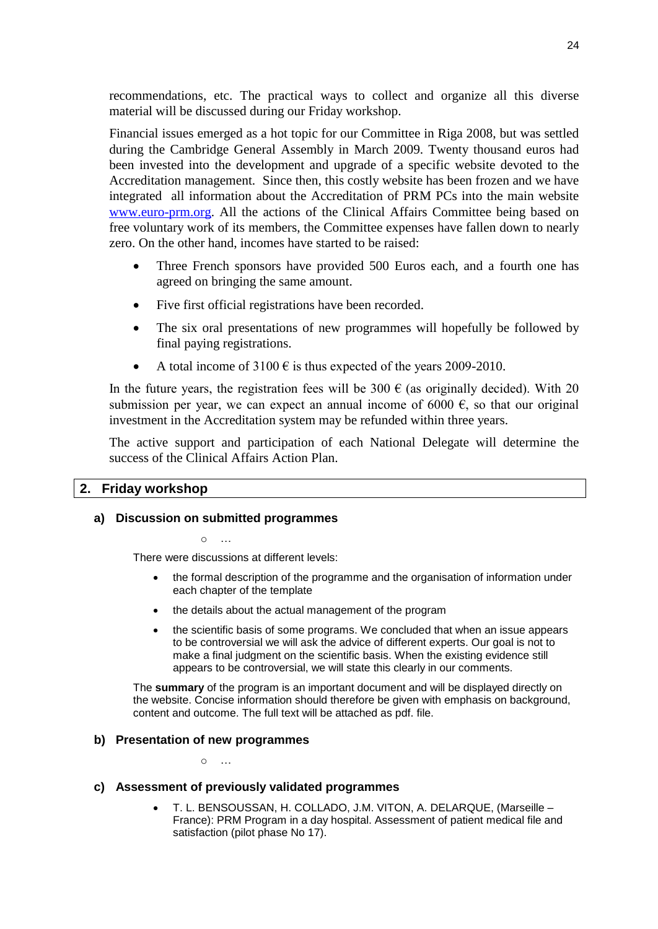recommendations, etc. The practical ways to collect and organize all this diverse material will be discussed during our Friday workshop.

Financial issues emerged as a hot topic for our Committee in Riga 2008, but was settled during the Cambridge General Assembly in March 2009. Twenty thousand euros had been invested into the development and upgrade of a specific website devoted to the Accreditation management. Since then, this costly website has been frozen and we have integrated all information about the Accreditation of PRM PCs into the main website [www.euro-prm.org.](http://www.euro-prm.org/) All the actions of the Clinical Affairs Committee being based on free voluntary work of its members, the Committee expenses have fallen down to nearly zero. On the other hand, incomes have started to be raised:

- Three French sponsors have provided 500 Euros each, and a fourth one has agreed on bringing the same amount.
- Five first official registrations have been recorded.
- The six oral presentations of new programmes will hopefully be followed by final paying registrations.
- A total income of  $3100 \text{ } \epsilon$  is thus expected of the years 2009-2010.

In the future years, the registration fees will be 300  $\epsilon$  (as originally decided). With 20 submission per year, we can expect an annual income of 6000  $\epsilon$ , so that our original investment in the Accreditation system may be refunded within three years.

The active support and participation of each National Delegate will determine the success of the Clinical Affairs Action Plan.

## <span id="page-23-0"></span>**2. Friday workshop**

## **a) Discussion on submitted programmes**

 $\Omega$ 

There were discussions at different levels:

- the formal description of the programme and the organisation of information under each chapter of the template
- the details about the actual management of the program
- the scientific basis of some programs. We concluded that when an issue appears to be controversial we will ask the advice of different experts. Our goal is not to make a final judgment on the scientific basis. When the existing evidence still appears to be controversial, we will state this clearly in our comments.

The **summary** of the program is an important document and will be displayed directly on the website. Concise information should therefore be given with emphasis on background, content and outcome. The full text will be attached as pdf. file.

## **b) Presentation of new programmes**

o …

### **c) Assessment of previously validated programmes**

 T. L. BENSOUSSAN, H. COLLADO, J.M. VITON, A. DELARQUE, (Marseille – France): PRM Program in a day hospital. Assessment of patient medical file and satisfaction (pilot phase No 17).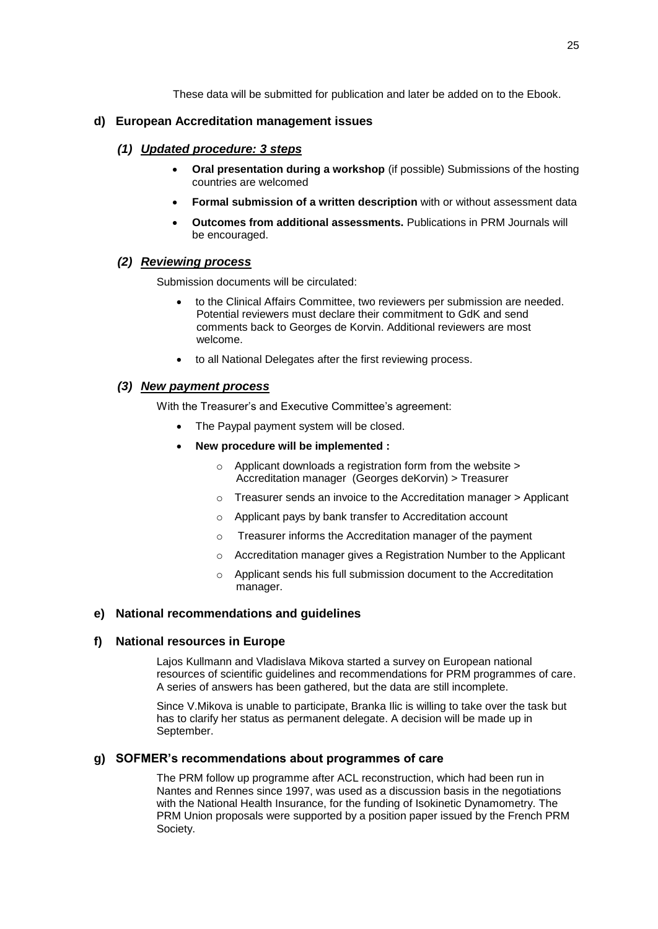These data will be submitted for publication and later be added on to the Ebook.

### **d) European Accreditation management issues**

### *(1) Updated procedure: 3 steps*

- **Oral presentation during a workshop** (if possible) Submissions of the hosting countries are welcomed
- **Formal submission of a written description** with or without assessment data
- **Outcomes from additional assessments.** Publications in PRM Journals will be encouraged.

#### *(2) Reviewing process*

Submission documents will be circulated:

- to the Clinical Affairs Committee, two reviewers per submission are needed. Potential reviewers must declare their commitment to GdK and send comments back to Georges de Korvin. Additional reviewers are most welcome.
- to all National Delegates after the first reviewing process.

### *(3) New payment process*

With the Treasurer's and Executive Committee's agreement:

- The Paypal payment system will be closed.
- **New procedure will be implemented :**
	- o Applicant downloads a registration form from the website > Accreditation manager (Georges deKorvin) > Treasurer
	- o Treasurer sends an invoice to the Accreditation manager > Applicant
	- o Applicant pays by bank transfer to Accreditation account
	- o Treasurer informs the Accreditation manager of the payment
	- o Accreditation manager gives a Registration Number to the Applicant
	- o Applicant sends his full submission document to the Accreditation manager.

### **e) National recommendations and guidelines**

#### **f) National resources in Europe**

Lajos Kullmann and Vladislava Mikova started a survey on European national resources of scientific guidelines and recommendations for PRM programmes of care. A series of answers has been gathered, but the data are still incomplete.

Since V.Mikova is unable to participate, Branka Ilic is willing to take over the task but has to clarify her status as permanent delegate. A decision will be made up in September.

#### **g) SOFMER's recommendations about programmes of care**

The PRM follow up programme after ACL reconstruction, which had been run in Nantes and Rennes since 1997, was used as a discussion basis in the negotiations with the National Health Insurance, for the funding of Isokinetic Dynamometry. The PRM Union proposals were supported by a position paper issued by the French PRM Society.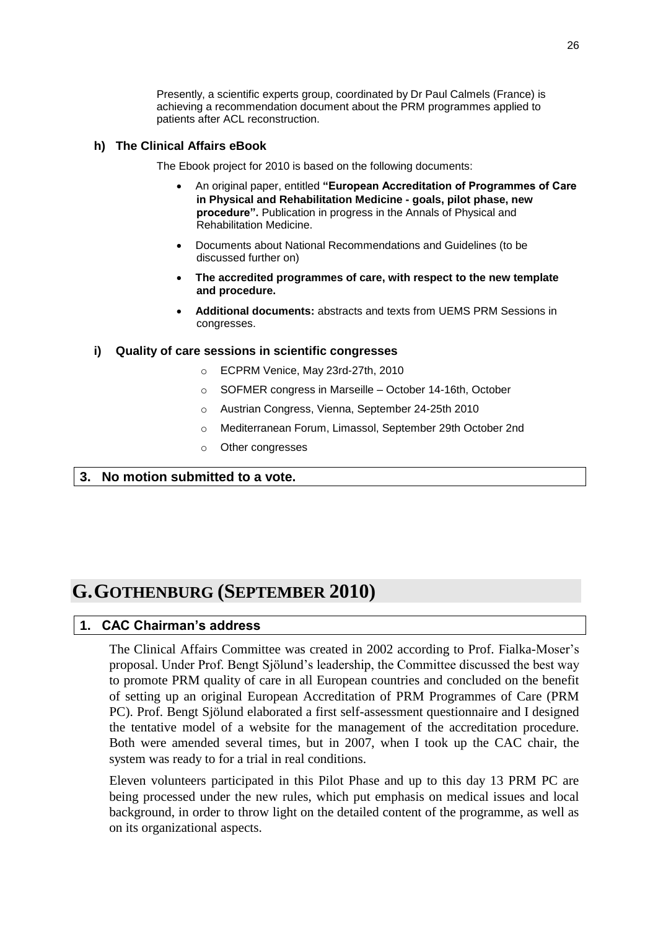Presently, a scientific experts group, coordinated by Dr Paul Calmels (France) is achieving a recommendation document about the PRM programmes applied to patients after ACL reconstruction.

### **h) The Clinical Affairs eBook**

The Ebook project for 2010 is based on the following documents:

- An original paper, entitled **"European Accreditation of Programmes of Care in Physical and Rehabilitation Medicine - goals, pilot phase, new procedure".** Publication in progress in the Annals of Physical and Rehabilitation Medicine.
- Documents about National Recommendations and Guidelines (to be discussed further on)
- **The accredited programmes of care, with respect to the new template and procedure.**
- **Additional documents:** abstracts and texts from UEMS PRM Sessions in congresses.

#### **i) Quality of care sessions in scientific congresses**

- o ECPRM Venice, May 23rd-27th, 2010
- o SOFMER congress in Marseille October 14-16th, October
- o Austrian Congress, Vienna, September 24-25th 2010
- o Mediterranean Forum, Limassol, September 29th October 2nd
- o Other congresses

## <span id="page-25-0"></span>**3. No motion submitted to a vote.**

# <span id="page-25-1"></span>**G.GOTHENBURG (SEPTEMBER 2010)**

### <span id="page-25-2"></span>**1. CAC Chairman's address**

The Clinical Affairs Committee was created in 2002 according to Prof. Fialka-Moser"s proposal. Under Prof. Bengt Sjölund"s leadership, the Committee discussed the best way to promote PRM quality of care in all European countries and concluded on the benefit of setting up an original European Accreditation of PRM Programmes of Care (PRM PC). Prof. Bengt Sjölund elaborated a first self-assessment questionnaire and I designed the tentative model of a website for the management of the accreditation procedure. Both were amended several times, but in 2007, when I took up the CAC chair, the system was ready to for a trial in real conditions.

Eleven volunteers participated in this Pilot Phase and up to this day 13 PRM PC are being processed under the new rules, which put emphasis on medical issues and local background, in order to throw light on the detailed content of the programme, as well as on its organizational aspects.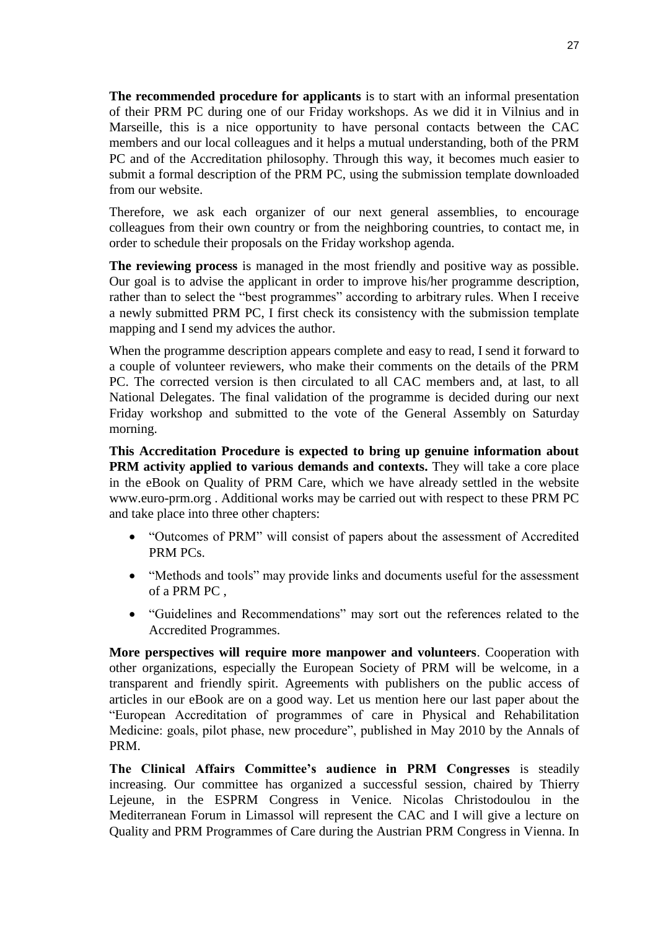**The recommended procedure for applicants** is to start with an informal presentation of their PRM PC during one of our Friday workshops. As we did it in Vilnius and in Marseille, this is a nice opportunity to have personal contacts between the CAC members and our local colleagues and it helps a mutual understanding, both of the PRM PC and of the Accreditation philosophy. Through this way, it becomes much easier to submit a formal description of the PRM PC, using the submission template downloaded from our website.

Therefore, we ask each organizer of our next general assemblies, to encourage colleagues from their own country or from the neighboring countries, to contact me, in order to schedule their proposals on the Friday workshop agenda.

**The reviewing process** is managed in the most friendly and positive way as possible. Our goal is to advise the applicant in order to improve his/her programme description, rather than to select the "best programmes" according to arbitrary rules. When I receive a newly submitted PRM PC, I first check its consistency with the submission template mapping and I send my advices the author.

When the programme description appears complete and easy to read, I send it forward to a couple of volunteer reviewers, who make their comments on the details of the PRM PC. The corrected version is then circulated to all CAC members and, at last, to all National Delegates. The final validation of the programme is decided during our next Friday workshop and submitted to the vote of the General Assembly on Saturday morning.

**This Accreditation Procedure is expected to bring up genuine information about PRM activity applied to various demands and contexts.** They will take a core place in the eBook on Quality of PRM Care, which we have already settled in the website www.euro-prm.org . Additional works may be carried out with respect to these PRM PC and take place into three other chapters:

- "Outcomes of PRM" will consist of papers about the assessment of Accredited PRM PCs.
- "Methods and tools" may provide links and documents useful for the assessment of a PRM PC ,
- "Guidelines and Recommendations" may sort out the references related to the Accredited Programmes.

**More perspectives will require more manpower and volunteers**. Cooperation with other organizations, especially the European Society of PRM will be welcome, in a transparent and friendly spirit. Agreements with publishers on the public access of articles in our eBook are on a good way. Let us mention here our last paper about the "European Accreditation of programmes of care in Physical and Rehabilitation Medicine: goals, pilot phase, new procedure", published in May 2010 by the Annals of PRM.

**The Clinical Affairs Committee's audience in PRM Congresses** is steadily increasing. Our committee has organized a successful session, chaired by Thierry Lejeune, in the ESPRM Congress in Venice. Nicolas Christodoulou in the Mediterranean Forum in Limassol will represent the CAC and I will give a lecture on Quality and PRM Programmes of Care during the Austrian PRM Congress in Vienna. In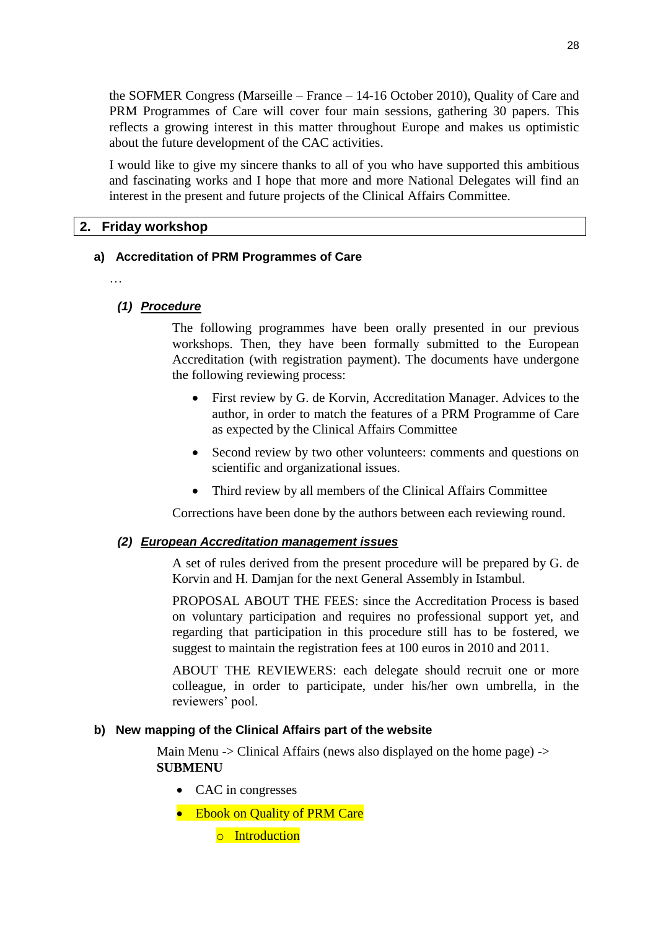the SOFMER Congress (Marseille – France – 14-16 October 2010), Quality of Care and PRM Programmes of Care will cover four main sessions, gathering 30 papers. This reflects a growing interest in this matter throughout Europe and makes us optimistic about the future development of the CAC activities.

I would like to give my sincere thanks to all of you who have supported this ambitious and fascinating works and I hope that more and more National Delegates will find an interest in the present and future projects of the Clinical Affairs Committee.

## <span id="page-27-0"></span>**2. Friday workshop**

### **a) Accreditation of PRM Programmes of Care**

…

### *(1) Procedure*

The following programmes have been orally presented in our previous workshops. Then, they have been formally submitted to the European Accreditation (with registration payment). The documents have undergone the following reviewing process:

- First review by G. de Korvin, Accreditation Manager. Advices to the author, in order to match the features of a PRM Programme of Care as expected by the Clinical Affairs Committee
- Second review by two other volunteers: comments and questions on scientific and organizational issues.
- Third review by all members of the Clinical Affairs Committee

Corrections have been done by the authors between each reviewing round.

### *(2) European Accreditation management issues*

A set of rules derived from the present procedure will be prepared by G. de Korvin and H. Damjan for the next General Assembly in Istambul.

PROPOSAL ABOUT THE FEES: since the Accreditation Process is based on voluntary participation and requires no professional support yet, and regarding that participation in this procedure still has to be fostered, we suggest to maintain the registration fees at 100 euros in 2010 and 2011.

ABOUT THE REVIEWERS: each delegate should recruit one or more colleague, in order to participate, under his/her own umbrella, in the reviewers' pool.

### **b) New mapping of the Clinical Affairs part of the website**

Main Menu -> Clinical Affairs (news also displayed on the home page) -> **SUBMENU**

- CAC in congresses
- Ebook on Quality of PRM Care
	- o Introduction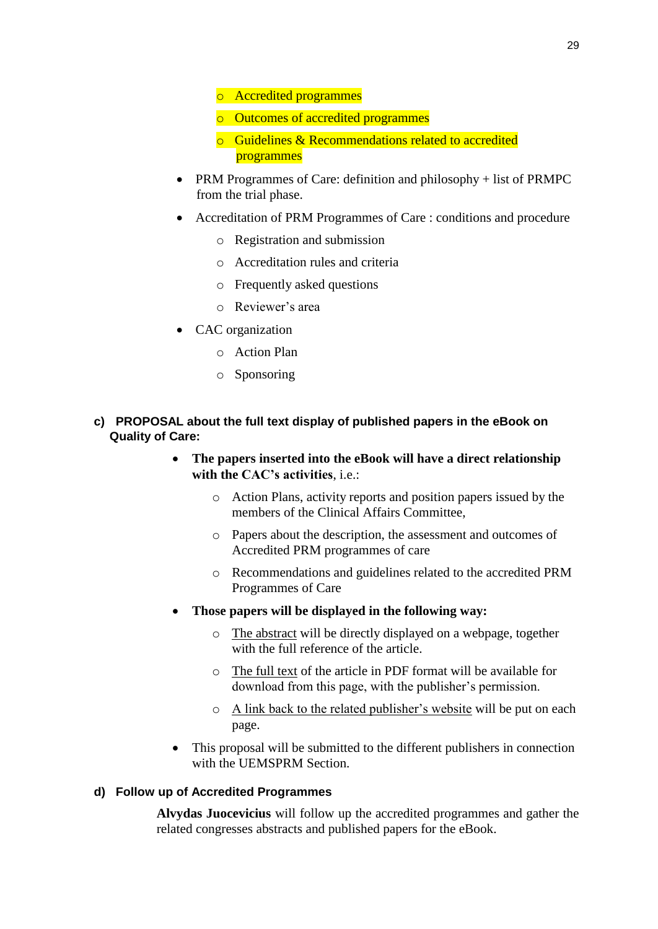- o Accredited programmes
- o Outcomes of accredited programmes
- o Guidelines & Recommendations related to accredited programmes
- PRM Programmes of Care: definition and philosophy + list of PRMPC from the trial phase.
- Accreditation of PRM Programmes of Care : conditions and procedure
	- o Registration and submission
	- o Accreditation rules and criteria
	- o Frequently asked questions
	- o Reviewer"s area
- CAC organization
	- o Action Plan
	- o Sponsoring
- **c) PROPOSAL about the full text display of published papers in the eBook on Quality of Care:**
	- **The papers inserted into the eBook will have a direct relationship with the CAC's activities**, i.e.:
		- o Action Plans, activity reports and position papers issued by the members of the Clinical Affairs Committee,
		- o Papers about the description, the assessment and outcomes of Accredited PRM programmes of care
		- o Recommendations and guidelines related to the accredited PRM Programmes of Care
	- **Those papers will be displayed in the following way:**
		- o The abstract will be directly displayed on a webpage, together with the full reference of the article.
		- o The full text of the article in PDF format will be available for download from this page, with the publisher"s permission.
		- o A link back to the related publisher"s website will be put on each page.
	- This proposal will be submitted to the different publishers in connection with the UEMSPRM Section.

## **d) Follow up of Accredited Programmes**

**Alvydas Juocevicius** will follow up the accredited programmes and gather the related congresses abstracts and published papers for the eBook.